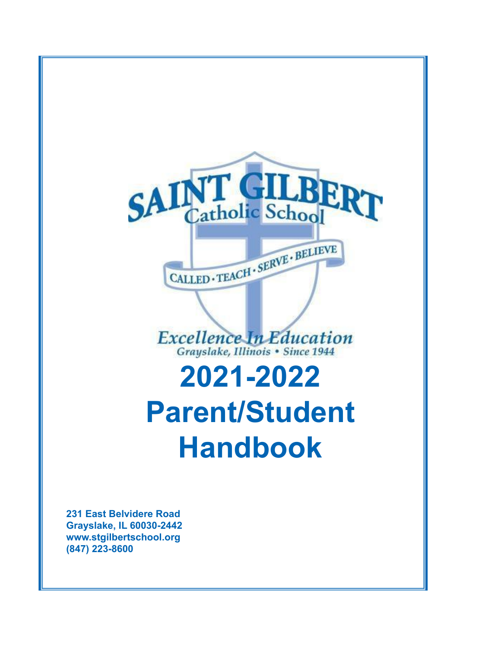

**www.stgilbertschool.org (847) 223-8600**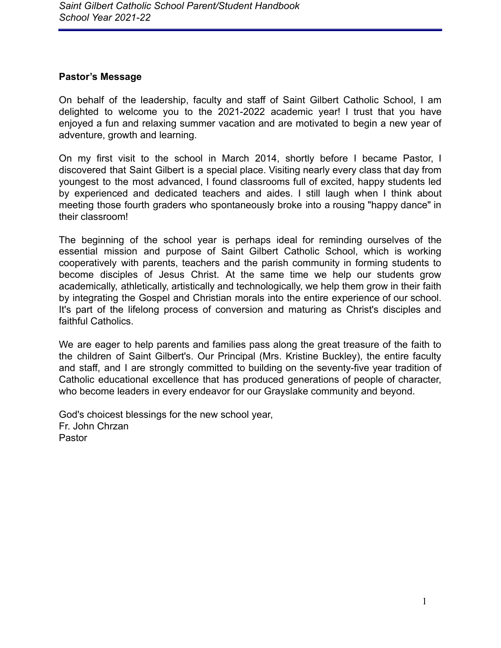#### <span id="page-1-0"></span>**Pastor's Message**

On behalf of the leadership, faculty and staff of Saint Gilbert Catholic School, I am delighted to welcome you to the 2021-2022 academic year! I trust that you have enjoyed a fun and relaxing summer vacation and are motivated to begin a new year of adventure, growth and learning.

On my first visit to the school in March 2014, shortly before I became Pastor, I discovered that Saint Gilbert is a special place. Visiting nearly every class that day from youngest to the most advanced, I found classrooms full of excited, happy students led by experienced and dedicated teachers and aides. I still laugh when I think about meeting those fourth graders who spontaneously broke into a rousing "happy dance" in their classroom!

The beginning of the school year is perhaps ideal for reminding ourselves of the essential mission and purpose of Saint Gilbert Catholic School, which is working cooperatively with parents, teachers and the parish community in forming students to become disciples of Jesus Christ. At the same time we help our students grow academically, athletically, artistically and technologically, we help them grow in their faith by integrating the Gospel and Christian morals into the entire experience of our school. It's part of the lifelong process of conversion and maturing as Christ's disciples and faithful Catholics.

We are eager to help parents and families pass along the great treasure of the faith to the children of Saint Gilbert's. Our Principal (Mrs. Kristine Buckley), the entire faculty and staff, and I are strongly committed to building on the seventy-five year tradition of Catholic educational excellence that has produced generations of people of character, who become leaders in every endeavor for our Grayslake community and beyond.

God's choicest blessings for the new school year, Fr. John Chrzan Pastor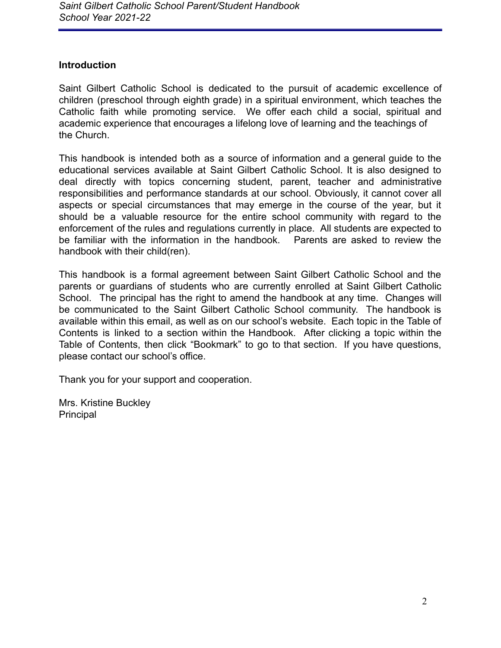### <span id="page-2-0"></span>**Introduction**

Saint Gilbert Catholic School is dedicated to the pursuit of academic excellence of children (preschool through eighth grade) in a spiritual environment, which teaches the Catholic faith while promoting service. We offer each child a social, spiritual and academic experience that encourages a lifelong love of learning and the teachings of the Church.

This handbook is intended both as a source of information and a general guide to the educational services available at Saint Gilbert Catholic School. It is also designed to deal directly with topics concerning student, parent, teacher and administrative responsibilities and performance standards at our school. Obviously, it cannot cover all aspects or special circumstances that may emerge in the course of the year, but it should be a valuable resource for the entire school community with regard to the enforcement of the rules and regulations currently in place. All students are expected to be familiar with the information in the handbook. Parents are asked to review the handbook with their child(ren).

This handbook is a formal agreement between Saint Gilbert Catholic School and the parents or guardians of students who are currently enrolled at Saint Gilbert Catholic School. The principal has the right to amend the handbook at any time. Changes will be communicated to the Saint Gilbert Catholic School community. The handbook is available within this email, as well as on our school's website. Each topic in the Table of Contents is linked to a section within the Handbook. After clicking a topic within the Table of Contents, then click "Bookmark" to go to that section. If you have questions, please contact our school's office.

Thank you for your support and cooperation.

Mrs. Kristine Buckley **Principal**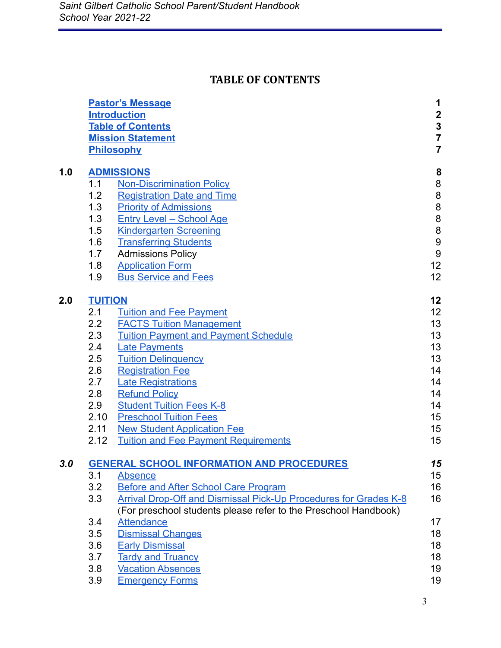# **TABLE OF CONTENTS**

|     |                | <b>Pastor's Message</b><br><b>Introduction</b><br><b>Table of Contents</b><br><b>Mission Statement</b><br>Philosophy | 1<br>$\begin{array}{c}\n 2 \\ 3 \\ 7 \\ 7\n \end{array}$ |
|-----|----------------|----------------------------------------------------------------------------------------------------------------------|----------------------------------------------------------|
| 1.0 |                | <b>ADMISSIONS</b>                                                                                                    | 8                                                        |
|     | 1.1            | <b>Non-Discrimination Policy</b>                                                                                     | 8                                                        |
|     | 1.2            | <b>Registration Date and Time</b>                                                                                    | 8                                                        |
|     | 1.3            | <b>Priority of Admissions</b>                                                                                        |                                                          |
|     | 1.3            | <b>Entry Level - School Age</b>                                                                                      | $\begin{array}{c} 8 \\ 8 \end{array}$                    |
|     | 1.5            | <b>Kindergarten Screening</b>                                                                                        | $\begin{array}{c} 8 \\ 9 \end{array}$                    |
|     | 1.6            | <b>Transferring Students</b>                                                                                         |                                                          |
|     | 1.7            | <b>Admissions Policy</b>                                                                                             | $\boldsymbol{9}$                                         |
|     | 1.8            | <b>Application Form</b>                                                                                              | 12                                                       |
|     | 1.9            | <b>Bus Service and Fees</b>                                                                                          | 12 <sub>2</sub>                                          |
| 2.0 | <b>TUITION</b> |                                                                                                                      | 12                                                       |
|     | 2.1            | <b>Tuition and Fee Payment</b>                                                                                       | 12                                                       |
|     | 2.2            | <b>FACTS Tuition Management</b>                                                                                      | 13                                                       |
|     | 2.3            | <b>Tuition Payment and Payment Schedule</b>                                                                          | 13                                                       |
|     | 2.4            | <b>Late Payments</b>                                                                                                 | 13                                                       |
|     | 2.5            | <b>Tuition Delinquency</b>                                                                                           | 13                                                       |
|     | $2.6\,$        | <b>Registration Fee</b>                                                                                              | 14                                                       |
|     | 2.7            | <b>Late Registrations</b>                                                                                            | 14                                                       |
|     | 2.8            | <b>Refund Policy</b>                                                                                                 | 14                                                       |
|     | 2.9            | <b>Student Tuition Fees K-8</b>                                                                                      | 14                                                       |
|     | 2.10           | <b>Preschool Tuition Fees</b>                                                                                        | 15                                                       |
|     | 2.11           | <b>New Student Application Fee</b>                                                                                   | 15                                                       |
|     | 2.12           | <b>Tuition and Fee Payment Requirements</b>                                                                          | 15                                                       |
| 3.0 |                | <b>GENERAL SCHOOL INFORMATION AND PROCEDURES</b>                                                                     | 15                                                       |
|     | 3.1            | <b>Absence</b>                                                                                                       | 15                                                       |
|     | 3.2            | <b>Before and After School Care Program</b>                                                                          | 16                                                       |
|     | 3.3            | <b>Arrival Drop-Off and Dismissal Pick-Up Procedures for Grades K-8</b>                                              | 16                                                       |
|     |                | (For preschool students please refer to the Preschool Handbook)                                                      |                                                          |
|     | 3.4            | <b>Attendance</b>                                                                                                    | 17                                                       |
|     | 3.5            | <b>Dismissal Changes</b>                                                                                             | 18                                                       |
|     | 3.6            | <b>Early Dismissal</b>                                                                                               | 18                                                       |
|     | 3.7            | <b>Tardy and Truancy</b>                                                                                             | 18                                                       |
|     | 3.8            | <b>Vacation Absences</b>                                                                                             | 19                                                       |
|     | 3.9            | <b>Emergency Forms</b>                                                                                               | 19                                                       |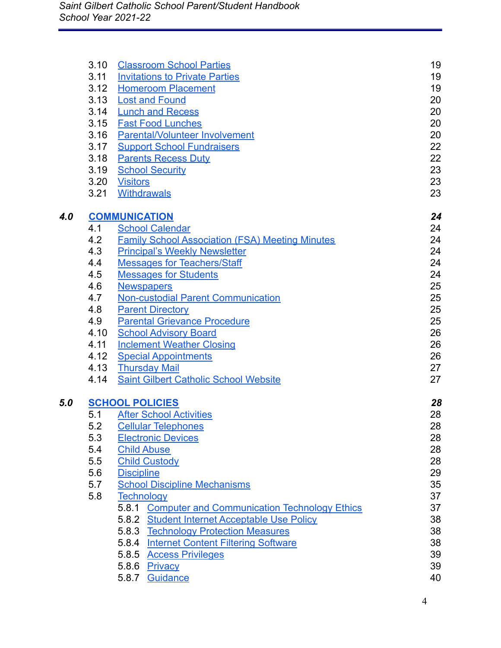|     | 3.10 | <b>Classroom School Parties</b>                              | 19 |
|-----|------|--------------------------------------------------------------|----|
|     | 3.11 | <b>Invitations to Private Parties</b>                        | 19 |
|     | 3.12 | <b>Homeroom Placement</b>                                    | 19 |
|     | 3.13 | <b>Lost and Found</b>                                        | 20 |
|     | 3.14 | <b>Lunch and Recess</b>                                      | 20 |
|     | 3.15 | <b>Fast Food Lunches</b>                                     | 20 |
|     | 3.16 | <b>Parental/Volunteer Involvement</b>                        | 20 |
|     | 3.17 | <b>Support School Fundraisers</b>                            | 22 |
|     | 3.18 | <b>Parents Recess Duty</b>                                   | 22 |
|     | 3.19 | <b>School Security</b>                                       | 23 |
|     | 3.20 | <b>Visitors</b>                                              | 23 |
|     | 3.21 | <b>Withdrawals</b>                                           | 23 |
| 4.0 |      | <b>COMMUNICATION</b>                                         | 24 |
|     | 4.1  | <b>School Calendar</b>                                       | 24 |
|     | 4.2  | <b>Family School Association (FSA) Meeting Minutes</b>       | 24 |
|     | 4.3  | <b>Principal's Weekly Newsletter</b>                         | 24 |
|     | 4.4  | <b>Messages for Teachers/Staff</b>                           | 24 |
|     | 4.5  | <b>Messages for Students</b>                                 | 24 |
|     | 4.6  | <b>Newspapers</b>                                            | 25 |
|     | 4.7  | <b>Non-custodial Parent Communication</b>                    | 25 |
|     | 4.8  | <b>Parent Directory</b>                                      | 25 |
|     | 4.9  | <b>Parental Grievance Procedure</b>                          | 25 |
|     | 4.10 | <b>School Advisory Board</b>                                 | 26 |
|     | 4.11 | <b>Inclement Weather Closing</b>                             | 26 |
|     | 4.12 | <b>Special Appointments</b>                                  | 26 |
|     | 4.13 | <b>Thursday Mail</b>                                         | 27 |
|     | 4.14 | <b>Saint Gilbert Catholic School Website</b>                 | 27 |
| 5.0 |      | <b>SCHOOL POLICIES</b>                                       | 28 |
|     | 5.1  | <b>After School Activities</b>                               | 28 |
|     | 5.2  | <b>Cellular Telephones</b>                                   | 28 |
|     | 5.3  | <b>Electronic Devices</b>                                    | 28 |
|     | 5.4  | <b>Child Abuse</b>                                           | 28 |
|     | 5.5  | <b>Child Custody</b>                                         | 28 |
|     | 5.6  | <b>Discipline</b>                                            | 29 |
|     | 5.7  | <b>School Discipline Mechanisms</b>                          | 35 |
|     | 5.8  | <b>Technology</b>                                            | 37 |
|     |      | <b>Computer and Communication Technology Ethics</b><br>5.8.1 | 37 |
|     |      | 5.8.2 Student Internet Acceptable Use Policy                 | 38 |
|     |      | 5.8.3 Technology Protection Measures                         | 38 |
|     |      | 5.8.4 Internet Content Filtering Software                    | 38 |
|     |      | 5.8.5 Access Privileges                                      | 39 |
|     |      | 5.8.6 Privacy                                                | 39 |
|     |      | 5.8.7 Guidance                                               | 40 |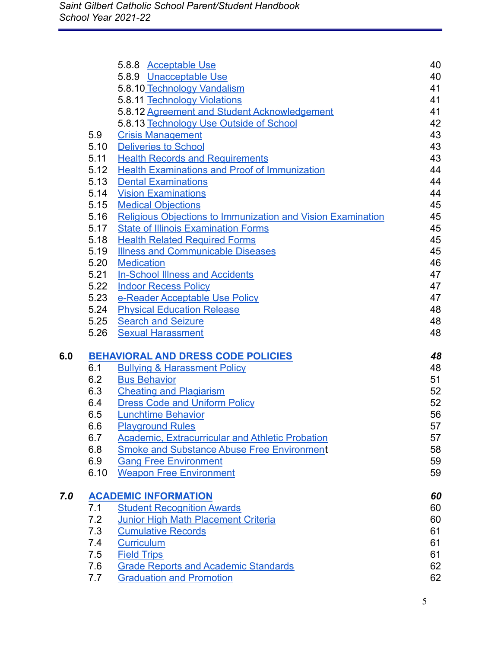|     |            | 5.8.8 Acceptable Use                                                           | 40       |
|-----|------------|--------------------------------------------------------------------------------|----------|
|     |            | 5.8.9 Unacceptable Use                                                         | 40       |
|     |            | 5.8.10 Technology Vandalism                                                    | 41       |
|     |            | 5.8.11 Technology Violations                                                   | 41       |
|     |            | 5.8.12 Agreement and Student Acknowledgement                                   | 41       |
|     |            | 5.8.13 Technology Use Outside of School                                        | 42       |
|     | 5.9        | <b>Crisis Management</b>                                                       | 43       |
|     | 5.10       | <b>Deliveries to School</b>                                                    | 43       |
|     | 5.11       | <b>Health Records and Requirements</b>                                         | 43       |
|     | 5.12       | <b>Health Examinations and Proof of Immunization</b>                           | 44       |
|     | 5.13       | <b>Dental Examinations</b>                                                     | 44       |
|     | 5.14       | <b>Vision Examinations</b>                                                     | 44       |
|     | 5.15       | <b>Medical Objections</b>                                                      | 45       |
|     | 5.16       | Religious Objections to Immunization and Vision Examination                    | 45       |
|     | 5.17       | <b>State of Illinois Examination Forms</b>                                     | 45       |
|     | 5.18       | <b>Health Related Required Forms</b>                                           | 45       |
|     | 5.19       | <b>Illness and Communicable Diseases</b>                                       | 45       |
|     | 5.20       | <b>Medication</b>                                                              | 46       |
|     | 5.21       | <b>In-School Illness and Accidents</b>                                         | 47       |
|     | 5.22       | <b>Indoor Recess Policy</b>                                                    | 47       |
|     | 5.23       | e-Reader Acceptable Use Policy                                                 | 47       |
|     | 5.24       | <b>Physical Education Release</b>                                              | 48       |
|     | 5.25       | <b>Search and Seizure</b>                                                      | 48       |
|     | 5.26       | <b>Sexual Harassment</b>                                                       | 48       |
| 6.0 |            | <b>BEHAVIORAL AND DRESS CODE POLICIES</b>                                      | 48       |
|     | 6.1        | <b>Bullying &amp; Harassment Policy</b>                                        | 48       |
|     | 6.2        | <b>Bus Behavior</b>                                                            | 51       |
|     | 6.3        | <b>Cheating and Plagiarism</b>                                                 | 52       |
|     | 6.4        | <b>Dress Code and Uniform Policy</b>                                           | 52       |
|     |            |                                                                                | 56       |
|     |            |                                                                                |          |
|     | 6.5        | <b>Lunchtime Behavior</b>                                                      |          |
|     | 6.6        | <b>Playground Rules</b>                                                        | 57       |
|     | 6.7        | <b>Academic, Extracurricular and Athletic Probation</b>                        | 57       |
|     | 6.8        | <b>Smoke and Substance Abuse Free Environment</b>                              | 58       |
|     | 6.9        | <b>Gang Free Environment</b>                                                   | 59<br>59 |
|     | 6.10       | <b>Weapon Free Environment</b>                                                 |          |
| 7.0 |            | <b>ACADEMIC INFORMATION</b>                                                    | 60       |
|     | 7.1        | <b>Student Recognition Awards</b>                                              | 60       |
|     | 7.2        | <b>Junior High Math Placement Criteria</b>                                     | 60       |
|     | 7.3        | <b>Cumulative Records</b>                                                      | 61       |
|     | 7.4        | Curriculum                                                                     | 61       |
|     | 7.5        | <b>Field Trips</b>                                                             | 61       |
|     | 7.6<br>7.7 | <b>Grade Reports and Academic Standards</b><br><b>Graduation and Promotion</b> | 62<br>62 |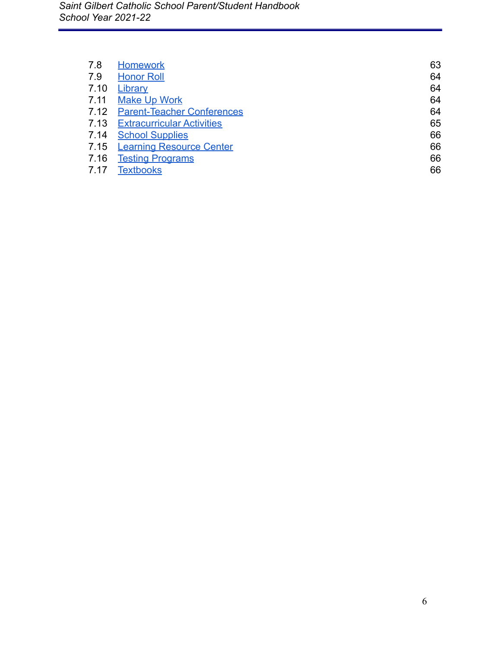| 7.8  | <b>Homework</b>                   | 63 |
|------|-----------------------------------|----|
| 7.9  | <b>Honor Roll</b>                 | 64 |
| 7.10 | Library                           | 64 |
| 7.11 | <b>Make Up Work</b>               | 64 |
| 7.12 | <b>Parent-Teacher Conferences</b> | 64 |
| 7.13 | <b>Extracurricular Activities</b> | 65 |
| 7.14 | <b>School Supplies</b>            | 66 |
| 7.15 | <b>Learning Resource Center</b>   | 66 |
| 7.16 | <b>Testing Programs</b>           | 66 |
| 7.17 | <b>Textbooks</b>                  | 66 |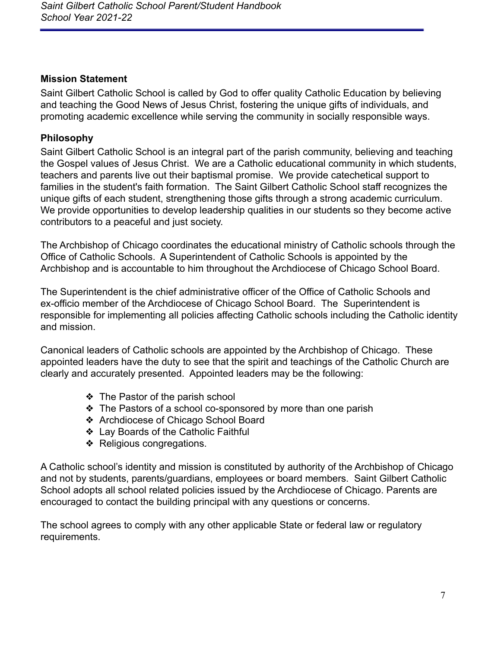### <span id="page-7-0"></span>**Mission Statement**

Saint Gilbert Catholic School is called by God to offer quality Catholic Education by believing and teaching the Good News of Jesus Christ, fostering the unique gifts of individuals, and promoting academic excellence while serving the community in socially responsible ways.

### <span id="page-7-1"></span>**Philosophy**

Saint Gilbert Catholic School is an integral part of the parish community, believing and teaching the Gospel values of Jesus Christ. We are a Catholic educational community in which students, teachers and parents live out their baptismal promise. We provide catechetical support to families in the student's faith formation. The Saint Gilbert Catholic School staff recognizes the unique gifts of each student, strengthening those gifts through a strong academic curriculum. We provide opportunities to develop leadership qualities in our students so they become active contributors to a peaceful and just society.

The Archbishop of Chicago coordinates the educational ministry of Catholic schools through the Office of Catholic Schools. A Superintendent of Catholic Schools is appointed by the Archbishop and is accountable to him throughout the Archdiocese of Chicago School Board.

The Superintendent is the chief administrative officer of the Office of Catholic Schools and ex-officio member of the Archdiocese of Chicago School Board. The Superintendent is responsible for implementing all policies affecting Catholic schools including the Catholic identity and mission.

Canonical leaders of Catholic schools are appointed by the Archbishop of Chicago. These appointed leaders have the duty to see that the spirit and teachings of the Catholic Church are clearly and accurately presented. Appointed leaders may be the following:

- ❖ The Pastor of the parish school
- ❖ The Pastors of a school co-sponsored by more than one parish
- ❖ Archdiocese of Chicago School Board
- ❖ Lay Boards of the Catholic Faithful
- ❖ Religious congregations.

A Catholic school's identity and mission is constituted by authority of the Archbishop of Chicago and not by students, parents/guardians, employees or board members. Saint Gilbert Catholic School adopts all school related policies issued by the Archdiocese of Chicago. Parents are encouraged to contact the building principal with any questions or concerns.

The school agrees to comply with any other applicable State or federal law or regulatory requirements.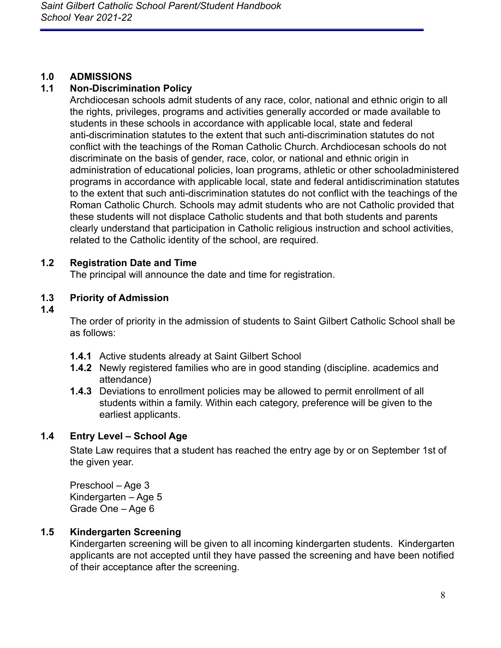## <span id="page-8-0"></span>**1.0 ADMISSIONS**

## <span id="page-8-1"></span>**1.1 Non-Discrimination Policy**

Archdiocesan schools admit students of any race, color, national and ethnic origin to all the rights, privileges, programs and activities generally accorded or made available to students in these schools in accordance with applicable local, state and federal anti-discrimination statutes to the extent that such anti-discrimination statutes do not conflict with the teachings of the Roman Catholic Church. Archdiocesan schools do not discriminate on the basis of gender, race, color, or national and ethnic origin in administration of educational policies, loan programs, athletic or other schooladministered programs in accordance with applicable local, state and federal antidiscrimination statutes to the extent that such anti-discrimination statutes do not conflict with the teachings of the Roman Catholic Church. Schools may admit students who are not Catholic provided that these students will not displace Catholic students and that both students and parents clearly understand that participation in Catholic religious instruction and school activities, related to the Catholic identity of the school, are required.

## <span id="page-8-2"></span>**1.2 Registration Date and Time**

The principal will announce the date and time for registration.

## <span id="page-8-3"></span>**1.3 Priority of Admission**

#### **1.4**

The order of priority in the admission of students to Saint Gilbert Catholic School shall be as follows:

- **1.4.1** Active students already at Saint Gilbert School
- **1.4.2** Newly registered families who are in good standing (discipline. academics and attendance)
- **1.4.3** Deviations to enrollment policies may be allowed to permit enrollment of all students within a family. Within each category, preference will be given to the earliest applicants.

## <span id="page-8-4"></span>**1.4 Entry Level – School Age**

State Law requires that a student has reached the entry age by or on September 1st of the given year.

Preschool – Age 3 Kindergarten – Age 5 Grade One – Age 6

## <span id="page-8-5"></span>**1.5 Kindergarten Screening**

Kindergarten screening will be given to all incoming kindergarten students. Kindergarten applicants are not accepted until they have passed the screening and have been notified of their acceptance after the screening.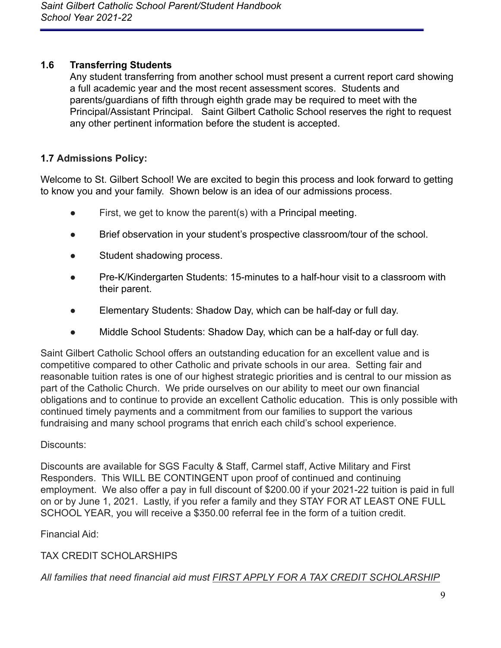## <span id="page-9-0"></span>**1.6 Transferring Students**

Any student transferring from another school must present a current report card showing a full academic year and the most recent assessment scores. Students and parents/guardians of fifth through eighth grade may be required to meet with the Principal/Assistant Principal. Saint Gilbert Catholic School reserves the right to request any other pertinent information before the student is accepted.

# **1.7 Admissions Policy:**

Welcome to St. Gilbert School! We are excited to begin this process and look forward to getting to know you and your family. Shown below is an idea of our admissions process.

- First, we get to know the parent(s) with a Principal meeting.
- Brief observation in your student's prospective classroom/tour of the school.
- Student shadowing process.
- Pre-K/Kindergarten Students: 15-minutes to a half-hour visit to a classroom with their parent.
- Elementary Students: Shadow Day, which can be half-day or full day.
- Middle School Students: Shadow Day, which can be a half-day or full day.

Saint Gilbert Catholic School offers an outstanding education for an excellent value and is competitive compared to other Catholic and private schools in our area. Setting fair and reasonable tuition rates is one of our highest strategic priorities and is central to our mission as part of the Catholic Church. We pride ourselves on our ability to meet our own financial obligations and to continue to provide an excellent Catholic education. This is only possible with continued timely payments and a commitment from our families to support the various fundraising and many school programs that enrich each child's school experience.

## Discounts:

Discounts are available for SGS Faculty & Staff, Carmel staff, Active Military and First Responders. This WILL BE CONTINGENT upon proof of continued and continuing employment. We also offer a pay in full discount of \$200.00 if your 2021-22 tuition is paid in full on or by June 1, 2021. Lastly, if you refer a family and they STAY FOR AT LEAST ONE FULL SCHOOL YEAR, you will receive a \$350.00 referral fee in the form of a tuition credit.

Financial Aid:

TAX CREDIT SCHOLARSHIPS

*All families that need financial aid must FIRST APPLY FOR A TAX CREDIT SCHOLARSHIP*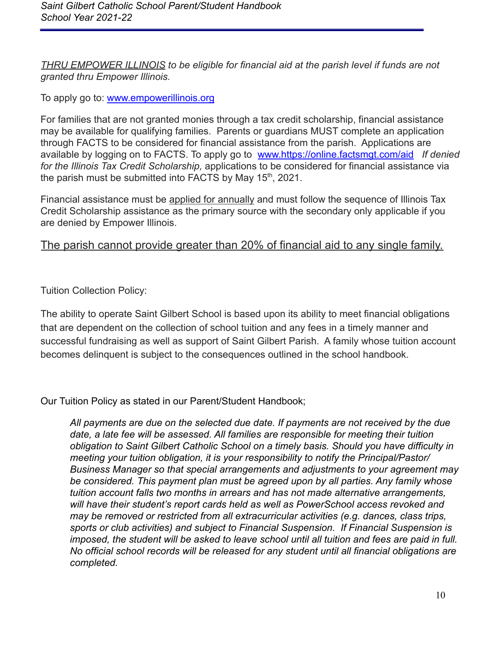*THRU EMPOWER ILLINOIS to be eligible for financial aid at the parish level if funds are not granted thru Empower Illinois.*

To apply go to: [www.empowerillinois.org](http://www.empowerillinois.org/)

For families that are not granted monies through a tax credit scholarship, financial assistance may be available for qualifying families. Parents or guardians MUST complete an application through FACTS to be considered for financial assistance from the parish. Applications are available by logging on to FACTS. To apply go to [www.https://online.factsmgt.com/aid](http://www.https/online.factsmgt.com/aid) *If denied for the Illinois Tax Credit Scholarship,* applications to be considered for financial assistance via the parish must be submitted into FACTS by May  $15<sup>th</sup>$ , 2021.

Financial assistance must be applied for annually and must follow the sequence of Illinois Tax Credit Scholarship assistance as the primary source with the secondary only applicable if you are denied by Empower Illinois.

# The parish cannot provide greater than 20% of financial aid to any single family.

Tuition Collection Policy:

The ability to operate Saint Gilbert School is based upon its ability to meet financial obligations that are dependent on the collection of school tuition and any fees in a timely manner and successful fundraising as well as support of Saint Gilbert Parish. A family whose tuition account becomes delinquent is subject to the consequences outlined in the school handbook.

Our Tuition Policy as stated in our Parent/Student Handbook;

*All payments are due on the selected due date. If payments are not received by the due date, a late fee will be assessed. All families are responsible for meeting their tuition obligation to Saint Gilbert Catholic School on a timely basis. Should you have difficulty in meeting your tuition obligation, it is your responsibility to notify the Principal/Pastor/ Business Manager so that special arrangements and adjustments to your agreement may be considered. This payment plan must be agreed upon by all parties. Any family whose tuition account falls two months in arrears and has not made alternative arrangements, will have their student's report cards held as well as PowerSchool access revoked and may be removed or restricted from all extracurricular activities (e.g. dances, class trips, sports or club activities) and subject to Financial Suspension. If Financial Suspension is imposed, the student will be asked to leave school until all tuition and fees are paid in full. No official school records will be released for any student until all financial obligations are completed.*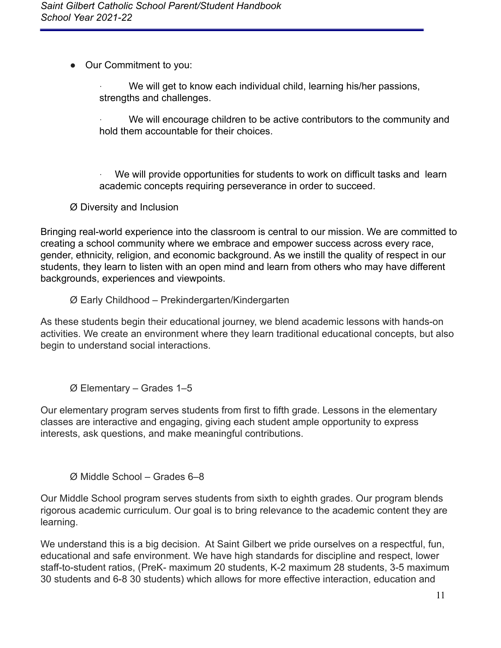● Our Commitment to you:

We will get to know each individual child, learning his/her passions, strengths and challenges.

We will encourage children to be active contributors to the community and hold them accountable for their choices.

We will provide opportunities for students to work on difficult tasks and learn academic concepts requiring perseverance in order to succeed.

Ø Diversity and Inclusion

Bringing real-world experience into the classroom is central to our mission. We are committed to creating a school community where we embrace and empower success across every race, gender, ethnicity, religion, and economic background. As we instill the quality of respect in our students, they learn to listen with an open mind and learn from others who may have different backgrounds, experiences and viewpoints.

Ø Early Childhood – Prekindergarten/Kindergarten

As these students begin their educational journey, we blend academic lessons with hands-on activities. We create an environment where they learn traditional educational concepts, but also begin to understand social interactions.

Ø Elementary – Grades 1–5

Our elementary program serves students from first to fifth grade. Lessons in the elementary classes are interactive and engaging, giving each student ample opportunity to express interests, ask questions, and make meaningful contributions.

Ø Middle School – Grades 6–8

Our Middle School program serves students from sixth to eighth grades. Our program blends rigorous academic curriculum. Our goal is to bring relevance to the academic content they are learning.

We understand this is a big decision. At Saint Gilbert we pride ourselves on a respectful, fun, educational and safe environment. We have high standards for discipline and respect, lower staff-to-student ratios, (PreK- maximum 20 students, K-2 maximum 28 students, 3-5 maximum 30 students and 6-8 30 students) which allows for more effective interaction, education and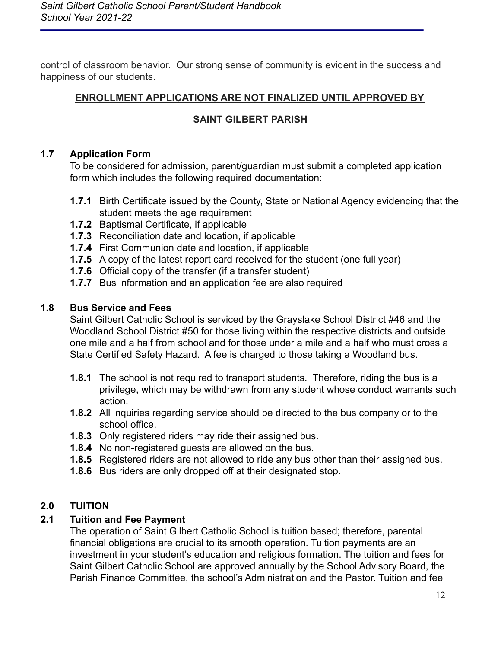control of classroom behavior. Our strong sense of community is evident in the success and happiness of our students.

## **ENROLLMENT APPLICATIONS ARE NOT FINALIZED UNTIL APPROVED BY**

## **SAINT GILBERT PARISH**

### <span id="page-12-0"></span>**1.7 Application Form**

To be considered for admission, parent/guardian must submit a completed application form which includes the following required documentation:

- **1.7.1** Birth Certificate issued by the County, State or National Agency evidencing that the student meets the age requirement
- **1.7.2** Baptismal Certificate, if applicable
- **1.7.3** Reconciliation date and location, if applicable
- **1.7.4** First Communion date and location, if applicable
- **1.7.5** A copy of the latest report card received for the student (one full year)
- **1.7.6** Official copy of the transfer (if a transfer student)
- **1.7.7** Bus information and an application fee are also required

## <span id="page-12-1"></span>**1.8 Bus Service and Fees**

Saint Gilbert Catholic School is serviced by the Grayslake School District #46 and the Woodland School District #50 for those living within the respective districts and outside one mile and a half from school and for those under a mile and a half who must cross a State Certified Safety Hazard. A fee is charged to those taking a Woodland bus.

- **1.8.1** The school is not required to transport students. Therefore, riding the bus is a privilege, which may be withdrawn from any student whose conduct warrants such action.
- **1.8.2** All inquiries regarding service should be directed to the bus company or to the school office.
- **1.8.3** Only registered riders may ride their assigned bus.
- **1.8.4** No non-registered guests are allowed on the bus.
- **1.8.5** Registered riders are not allowed to ride any bus other than their assigned bus.
- **1.8.6** Bus riders are only dropped off at their designated stop.

## <span id="page-12-2"></span>**2.0 TUITION**

## <span id="page-12-3"></span>**2.1 Tuition and Fee Payment**

The operation of Saint Gilbert Catholic School is tuition based; therefore, parental financial obligations are crucial to its smooth operation. Tuition payments are an investment in your student's education and religious formation. The tuition and fees for Saint Gilbert Catholic School are approved annually by the School Advisory Board, the Parish Finance Committee, the school's Administration and the Pastor. Tuition and fee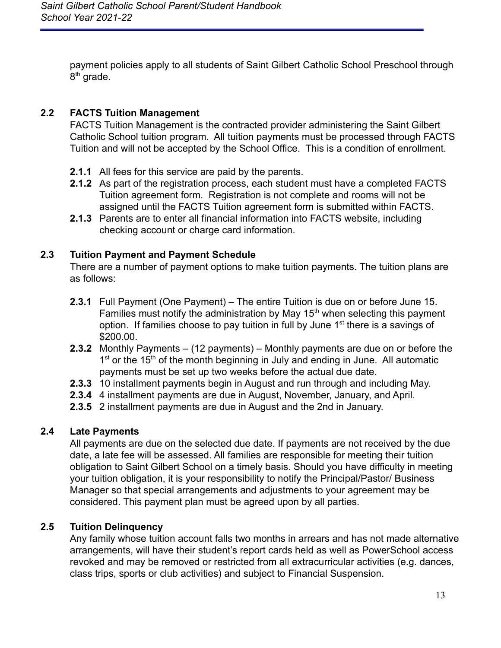payment policies apply to all students of Saint Gilbert Catholic School Preschool through 8<sup>th</sup> grade.

## <span id="page-13-0"></span>**2.2 FACTS Tuition Management**

FACTS Tuition Management is the contracted provider administering the Saint Gilbert Catholic School tuition program. All tuition payments must be processed through FACTS Tuition and will not be accepted by the School Office. This is a condition of enrollment.

- **2.1.1** All fees for this service are paid by the parents.
- **2.1.2** As part of the registration process, each student must have a completed FACTS Tuition agreement form. Registration is not complete and rooms will not be assigned until the FACTS Tuition agreement form is submitted within FACTS.
- **2.1.3** Parents are to enter all financial information into FACTS website, including checking account or charge card information.

## <span id="page-13-1"></span>**2.3 Tuition Payment and Payment Schedule**

There are a number of payment options to make tuition payments. The tuition plans are as follows:

- **2.3.1** Full Payment (One Payment) The entire Tuition is due on or before June 15. Families must notify the administration by May  $15<sup>th</sup>$  when selecting this payment option. If families choose to pay tuition in full by June  $1<sup>st</sup>$  there is a savings of \$200.00.
- **2.3.2** Monthly Payments (12 payments) Monthly payments are due on or before the 1<sup>st</sup> or the 15<sup>th</sup> of the month beginning in July and ending in June. All automatic payments must be set up two weeks before the actual due date.
- **2.3.3** 10 installment payments begin in August and run through and including May.
- **2.3.4** 4 installment payments are due in August, November, January, and April.
- **2.3.5** 2 installment payments are due in August and the 2nd in January.

## <span id="page-13-2"></span>**2.4 Late Payments**

All payments are due on the selected due date. If payments are not received by the due date, a late fee will be assessed. All families are responsible for meeting their tuition obligation to Saint Gilbert School on a timely basis. Should you have difficulty in meeting your tuition obligation, it is your responsibility to notify the Principal/Pastor/ Business Manager so that special arrangements and adjustments to your agreement may be considered. This payment plan must be agreed upon by all parties.

# <span id="page-13-3"></span>**2.5 Tuition Delinquency**

Any family whose tuition account falls two months in arrears and has not made alternative arrangements, will have their student's report cards held as well as PowerSchool access revoked and may be removed or restricted from all extracurricular activities (e.g. dances, class trips, sports or club activities) and subject to Financial Suspension.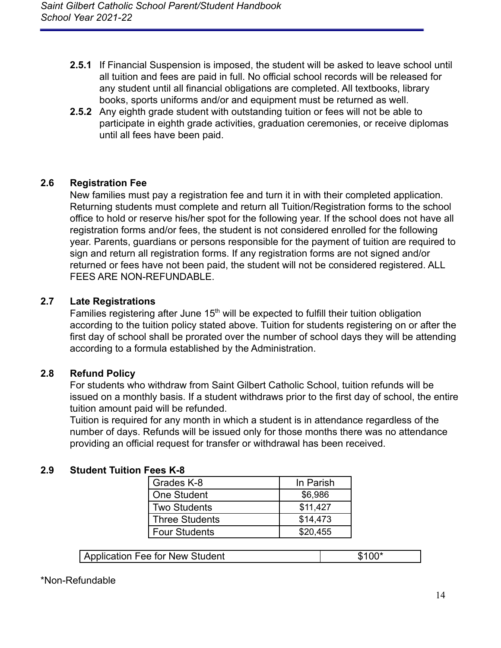- **2.5.1** If Financial Suspension is imposed, the student will be asked to leave school until all tuition and fees are paid in full. No official school records will be released for any student until all financial obligations are completed. All textbooks, library books, sports uniforms and/or and equipment must be returned as well.
- **2.5.2** Any eighth grade student with outstanding tuition or fees will not be able to participate in eighth grade activities, graduation ceremonies, or receive diplomas until all fees have been paid.

### <span id="page-14-0"></span>**2.6 Registration Fee**

New families must pay a registration fee and turn it in with their completed application. Returning students must complete and return all Tuition/Registration forms to the school office to hold or reserve his/her spot for the following year. If the school does not have all registration forms and/or fees, the student is not considered enrolled for the following year. Parents, guardians or persons responsible for the payment of tuition are required to sign and return all registration forms. If any registration forms are not signed and/or returned or fees have not been paid, the student will not be considered registered. ALL FEES ARE NON-REFUNDABLE.

### <span id="page-14-1"></span>**2.7 Late Registrations**

Families registering after June 15<sup>th</sup> will be expected to fulfill their tuition obligation according to the tuition policy stated above. Tuition for students registering on or after the first day of school shall be prorated over the number of school days they will be attending according to a formula established by the Administration.

### <span id="page-14-2"></span>**2.8 Refund Policy**

For students who withdraw from Saint Gilbert Catholic School, tuition refunds will be issued on a monthly basis. If a student withdraws prior to the first day of school, the entire tuition amount paid will be refunded.

Tuition is required for any month in which a student is in attendance regardless of the number of days. Refunds will be issued only for those months there was no attendance providing an official request for transfer or withdrawal has been received.

### <span id="page-14-3"></span>**2.9 Student Tuition Fees K-8**

| Grades K-8            | In Parish |
|-----------------------|-----------|
| One Student           | \$6,986   |
| <b>Two Students</b>   | \$11,427  |
| <b>Three Students</b> | \$14,473  |
| <b>Four Students</b>  | \$20,455  |

| Application Fee for New Student | \$100* |
|---------------------------------|--------|
|                                 |        |

#### \*Non-Refundable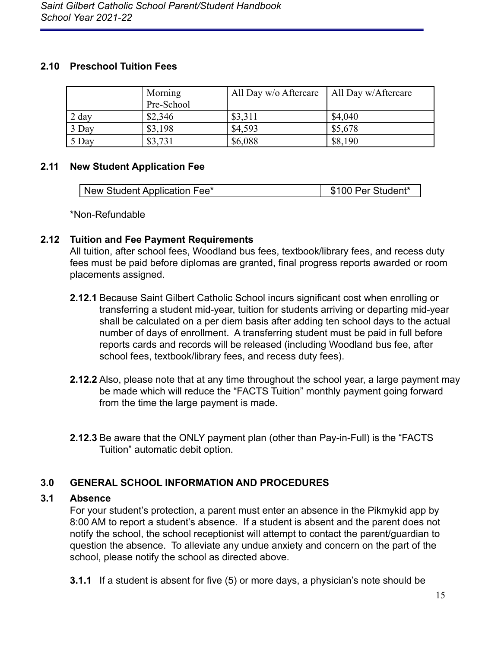### <span id="page-15-0"></span>**2.10 Preschool Tuition Fees**

|                 | Morning<br>Pre-School | All Day w/o Aftercare | All Day w/Aftercare |
|-----------------|-----------------------|-----------------------|---------------------|
| $2 \text{ day}$ | \$2,346               | \$3,311               | \$4,040             |
| 3 Day           | \$3,198               | \$4,593               | \$5,678             |
| 5 Day           | \$3,731               | \$6,088               | \$8,190             |

## <span id="page-15-1"></span>**2.11 New Student Application Fee**

| New Student Application Fee* | \$100 Per Student* |
|------------------------------|--------------------|
|                              |                    |

\*Non-Refundable

## <span id="page-15-2"></span>**2.12 Tuition and Fee Payment Requirements**

All tuition, after school fees, Woodland bus fees, textbook/library fees, and recess duty fees must be paid before diplomas are granted, final progress reports awarded or room placements assigned.

- **2.12.1** Because Saint Gilbert Catholic School incurs significant cost when enrolling or transferring a student mid-year, tuition for students arriving or departing mid-year shall be calculated on a per diem basis after adding ten school days to the actual number of days of enrollment. A transferring student must be paid in full before reports cards and records will be released (including Woodland bus fee, after school fees, textbook/library fees, and recess duty fees).
- **2.12.2** Also, please note that at any time throughout the school year, a large payment may be made which will reduce the "FACTS Tuition" monthly payment going forward from the time the large payment is made.
- **2.12.3** Be aware that the ONLY payment plan (other than Pay-in-Full) is the "FACTS Tuition" automatic debit option.

# <span id="page-15-3"></span>**3.0 GENERAL SCHOOL INFORMATION AND PROCEDURES**

### <span id="page-15-4"></span>**3.1 Absence**

For your student's protection, a parent must enter an absence in the Pikmykid app by 8:00 AM to report a student's absence. If a student is absent and the parent does not notify the school, the school receptionist will attempt to contact the parent/guardian to question the absence. To alleviate any undue anxiety and concern on the part of the school, please notify the school as directed above.

**3.1.1** If a student is absent for five (5) or more days, a physician's note should be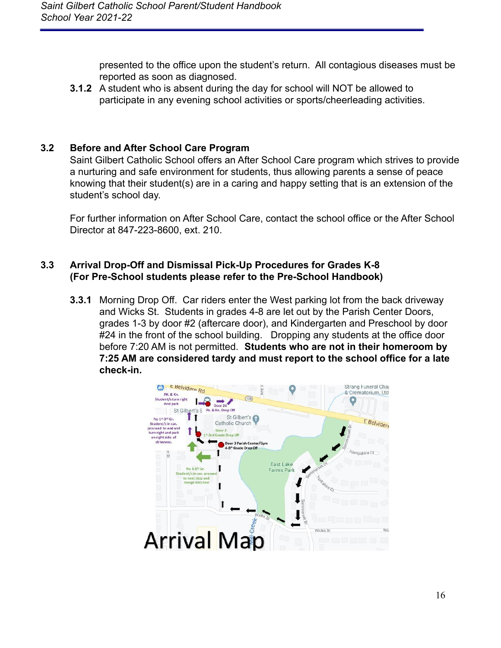presented to the office upon the student's return. All contagious diseases must be reported as soon as diagnosed.

**3.1.2** A student who is absent during the day for school will NOT be allowed to participate in any evening school activities or sports/cheerleading activities.

## <span id="page-16-0"></span>**3.2 Before and After School Care Program**

Saint Gilbert Catholic School offers an After School Care program which strives to provide a nurturing and safe environment for students, thus allowing parents a sense of peace knowing that their student(s) are in a caring and happy setting that is an extension of the student's school day.

For further information on After School Care, contact the school office or the After School Director at 847-223-8600, ext. 210.

#### <span id="page-16-1"></span>**3.3 Arrival Drop-Off and Dismissal Pick-Up Procedures for Grades K-8 (For Pre-School students please refer to the Pre-School Handbook)**

**3.3.1** Morning Drop Off. Car riders enter the West parking lot from the back driveway and Wicks St. Students in grades 4-8 are let out by the Parish Center Doors, grades 1-3 by door #2 (aftercare door), and Kindergarten and Preschool by door #24 in the front of the school building. Dropping any students at the office door before 7:20 AM is not permitted. **Students who are not in their homeroom by 7:25 AM are considered tardy and must report to the school office for a late check-in.**

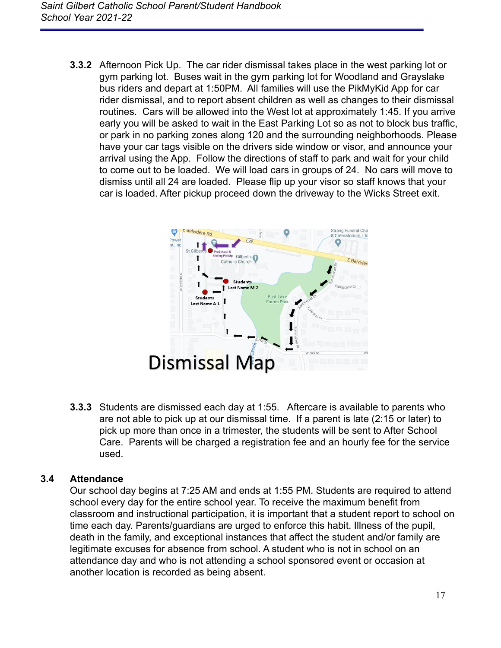**3.3.2** Afternoon Pick Up. The car rider dismissal takes place in the west parking lot or gym parking lot. Buses wait in the gym parking lot for Woodland and Grayslake bus riders and depart at 1:50PM. All families will use the PikMyKid App for car rider dismissal, and to report absent children as well as changes to their dismissal routines. Cars will be allowed into the West lot at approximately 1:45. If you arrive early you will be asked to wait in the East Parking Lot so as not to block bus traffic, or park in no parking zones along 120 and the surrounding neighborhoods. Please have your car tags visible on the drivers side window or visor, and announce your arrival using the App. Follow the directions of staff to park and wait for your child to come out to be loaded. We will load cars in groups of 24. No cars will move to dismiss until all 24 are loaded. Please flip up your visor so staff knows that your car is loaded. After pickup proceed down the driveway to the Wicks Street exit.



**3.3.3** Students are dismissed each day at 1:55. Aftercare is available to parents who are not able to pick up at our dismissal time. If a parent is late (2:15 or later) to pick up more than once in a trimester, the students will be sent to After School Care. Parents will be charged a registration fee and an hourly fee for the service used.

### <span id="page-17-0"></span>**3.4 Attendance**

Our school day begins at 7:25 AM and ends at 1:55 PM. Students are required to attend school every day for the entire school year. To receive the maximum benefit from classroom and instructional participation, it is important that a student report to school on time each day. Parents/guardians are urged to enforce this habit. Illness of the pupil, death in the family, and exceptional instances that affect the student and/or family are legitimate excuses for absence from school. A student who is not in school on an attendance day and who is not attending a school sponsored event or occasion at another location is recorded as being absent.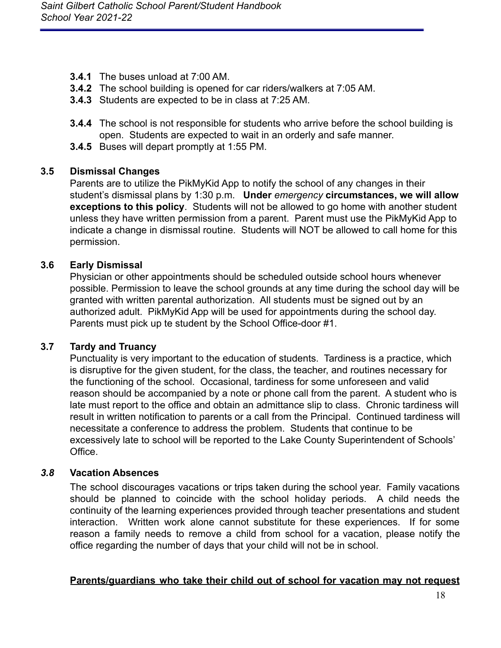- **3.4.1** The buses unload at 7:00 AM.
- **3.4.2** The school building is opened for car riders/walkers at 7:05 AM.
- **3.4.3** Students are expected to be in class at 7:25 AM.
- **3.4.4** The school is not responsible for students who arrive before the school building is open. Students are expected to wait in an orderly and safe manner.
- **3.4.5** Buses will depart promptly at 1:55 PM.

### <span id="page-18-0"></span>**3.5 Dismissal Changes**

Parents are to utilize the PikMyKid App to notify the school of any changes in their student's dismissal plans by 1:30 p.m. **Under** *emergency* **circumstances, we will allow exceptions to this policy**. Students will not be allowed to go home with another student unless they have written permission from a parent. Parent must use the PikMyKid App to indicate a change in dismissal routine. Students will NOT be allowed to call home for this permission.

### <span id="page-18-1"></span>**3.6 Early Dismissal**

Physician or other appointments should be scheduled outside school hours whenever possible. Permission to leave the school grounds at any time during the school day will be granted with written parental authorization. All students must be signed out by an authorized adult. PikMyKid App will be used for appointments during the school day. Parents must pick up te student by the School Office-door #1.

#### <span id="page-18-2"></span>**3.7 Tardy and Truancy**

Punctuality is very important to the education of students. Tardiness is a practice, which is disruptive for the given student, for the class, the teacher, and routines necessary for the functioning of the school. Occasional, tardiness for some unforeseen and valid reason should be accompanied by a note or phone call from the parent. A student who is late must report to the office and obtain an admittance slip to class. Chronic tardiness will result in written notification to parents or a call from the Principal. Continued tardiness will necessitate a conference to address the problem. Students that continue to be excessively late to school will be reported to the Lake County Superintendent of Schools' **Office** 

#### <span id="page-18-3"></span>*3.8* **Vacation Absences**

The school discourages vacations or trips taken during the school year. Family vacations should be planned to coincide with the school holiday periods. A child needs the continuity of the learning experiences provided through teacher presentations and student interaction. Written work alone cannot substitute for these experiences. If for some reason a family needs to remove a child from school for a vacation, please notify the office regarding the number of days that your child will not be in school.

#### **Parents/guardians who take their child out of school for vacation may not request**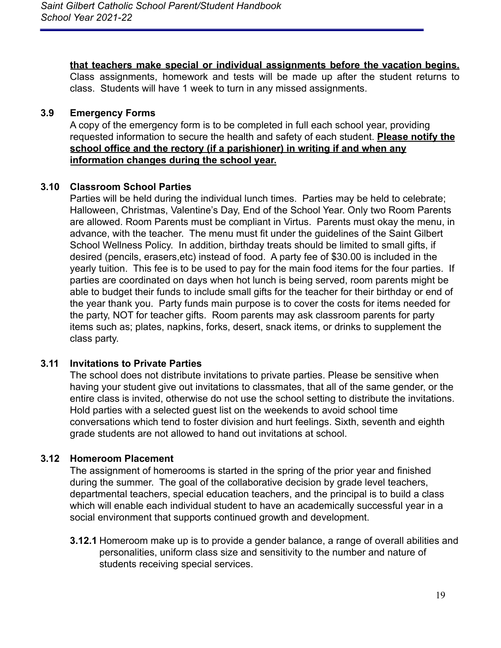**that teachers make special or individual assignments before the vacation begins.** Class assignments, homework and tests will be made up after the student returns to class. Students will have 1 week to turn in any missed assignments.

### <span id="page-19-0"></span>**3.9 Emergency Forms**

A copy of the emergency form is to be completed in full each school year, providing requested information to secure the health and safety of each student. **Please notify the school office and the rectory (if a parishioner) in writing if and when any information changes during the school year.**

### <span id="page-19-1"></span>**3.10 Classroom School Parties**

Parties will be held during the individual lunch times. Parties may be held to celebrate; Halloween, Christmas, Valentine's Day, End of the School Year. Only two Room Parents are allowed. Room Parents must be compliant in Virtus. Parents must okay the menu, in advance, with the teacher. The menu must fit under the guidelines of the Saint Gilbert School Wellness Policy. In addition, birthday treats should be limited to small gifts, if desired (pencils, erasers,etc) instead of food. A party fee of \$30.00 is included in the yearly tuition. This fee is to be used to pay for the main food items for the four parties. If parties are coordinated on days when hot lunch is being served, room parents might be able to budget their funds to include small gifts for the teacher for their birthday or end of the year thank you. Party funds main purpose is to cover the costs for items needed for the party, NOT for teacher gifts. Room parents may ask classroom parents for party items such as; plates, napkins, forks, desert, snack items, or drinks to supplement the class party.

### <span id="page-19-2"></span>**3.11 Invitations to Private Parties**

The school does not distribute invitations to private parties. Please be sensitive when having your student give out invitations to classmates, that all of the same gender, or the entire class is invited, otherwise do not use the school setting to distribute the invitations. Hold parties with a selected guest list on the weekends to avoid school time conversations which tend to foster division and hurt feelings. Sixth, seventh and eighth grade students are not allowed to hand out invitations at school.

### <span id="page-19-3"></span>**3.12 Homeroom Placement**

The assignment of homerooms is started in the spring of the prior year and finished during the summer. The goal of the collaborative decision by grade level teachers, departmental teachers, special education teachers, and the principal is to build a class which will enable each individual student to have an academically successful year in a social environment that supports continued growth and development.

**3.12.1** Homeroom make up is to provide a gender balance, a range of overall abilities and personalities, uniform class size and sensitivity to the number and nature of students receiving special services.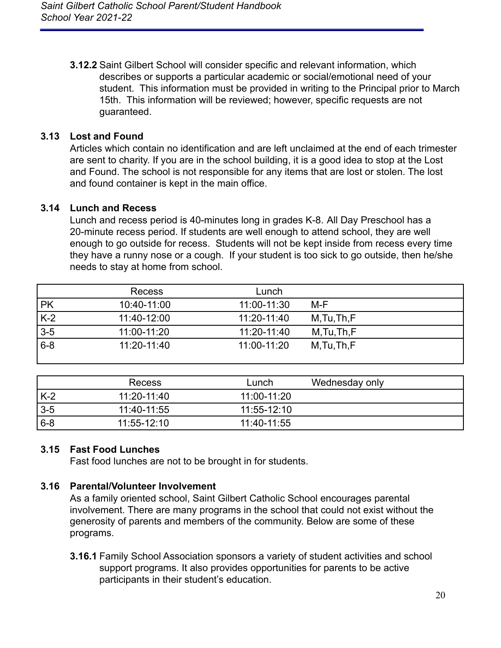**3.12.2** Saint Gilbert School will consider specific and relevant information, which describes or supports a particular academic or social/emotional need of your student. This information must be provided in writing to the Principal prior to March 15th. This information will be reviewed; however, specific requests are not guaranteed.

### <span id="page-20-0"></span>**3.13 Lost and Found**

Articles which contain no identification and are left unclaimed at the end of each trimester are sent to charity. If you are in the school building, it is a good idea to stop at the Lost and Found. The school is not responsible for any items that are lost or stolen. The lost and found container is kept in the main office.

### <span id="page-20-1"></span>**3.14 Lunch and Recess**

Lunch and recess period is 40-minutes long in grades K-8. All Day Preschool has a 20-minute recess period. If students are well enough to attend school, they are well enough to go outside for recess. Students will not be kept inside from recess every time they have a runny nose or a cough. If your student is too sick to go outside, then he/she needs to stay at home from school.

|           | <b>Recess</b> | Lunch       |              |
|-----------|---------------|-------------|--------------|
| <b>PK</b> | 10:40-11:00   | 11:00-11:30 | M-F          |
| $K-2$     | 11:40-12:00   | 11:20-11:40 | M, Tu, Th, F |
| $3-5$     | 11:00-11:20   | 11:20-11:40 | M,Tu,Th,F    |
| $6 - 8$   | 11:20-11:40   | 11:00-11:20 | M,Tu,Th,F    |

|         | Recess      | Lunch           | Wednesday only |
|---------|-------------|-----------------|----------------|
| K-2     | 11:20-11:40 | 11:00-11:20     |                |
| $3-5$   | 11:40-11:55 | $11:55 - 12:10$ |                |
| $ 6-8 $ | 11:55-12:10 | 11:40-11:55     |                |

### <span id="page-20-2"></span>**3.15 Fast Food Lunches**

Fast food lunches are not to be brought in for students.

### <span id="page-20-3"></span>**3.16 Parental/Volunteer Involvement**

As a family oriented school, Saint Gilbert Catholic School encourages parental involvement. There are many programs in the school that could not exist without the generosity of parents and members of the community. Below are some of these programs.

**3.16.1** Family School Association sponsors a variety of student activities and school support programs. It also provides opportunities for parents to be active participants in their student's education.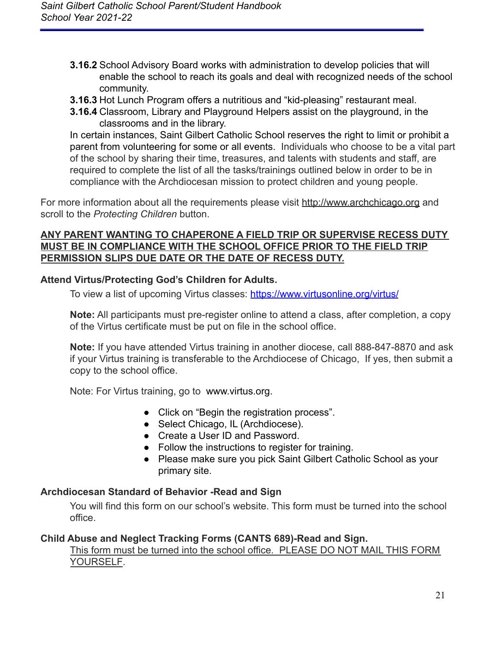- **3.16.2** School Advisory Board works with administration to develop policies that will enable the school to reach its goals and deal with recognized needs of the school community.
- **3.16.3** Hot Lunch Program offers a nutritious and "kid-pleasing" restaurant meal.
- **3.16.4** Classroom, Library and Playground Helpers assist on the playground, in the classrooms and in the library.

In certain instances, Saint Gilbert Catholic School reserves the right to limit or prohibit a parent from volunteering for some or all events. Individuals who choose to be a vital part of the school by sharing their time, treasures, and talents with students and staff, are required to complete the list of all the tasks/trainings outlined below in order to be in compliance with the Archdiocesan mission to protect children and young people.

For more information about all the requirements please visit [http://www.archchicago.org](http://www.archchicago.org/) and scroll to the *Protecting Children* button.

### **ANY PARENT WANTING TO CHAPERONE A FIELD TRIP OR SUPERVISE RECESS DUTY MUST BE IN COMPLIANCE WITH THE SCHOOL OFFICE PRIOR TO THE FIELD TRIP PERMISSION SLIPS DUE DATE OR THE DATE OF RECESS DUTY.**

### **Attend Virtus/Protecting God's Children for Adults.**

To view a list of upcoming Virtus classes: <https://www.virtusonline.org/virtus/>

**Note:** All participants must pre-register online to attend a class, after completion, a copy of the Virtus certificate must be put on file in the school office.

**Note:** If you have attended Virtus training in another diocese, call 888-847-8870 and ask if your Virtus training is transferable to the Archdiocese of Chicago, If yes, then submit a copy to the school office.

Note: For Virtus training, go to www.virtus.org.

- Click on "Begin the registration process".
- Select Chicago, IL (Archdiocese).
- Create a User ID and Password.
- Follow the instructions to register for training.
- Please make sure you pick Saint Gilbert Catholic School as your primary site.

### **Archdiocesan Standard of Behavior -Read and Sign**

You will find this form on our school's website. This form must be turned into the school office.

### **Child Abuse and Neglect Tracking Forms (CANTS 689)-Read and Sign.**

### This form must be turned into the school office. PLEASE DO NOT MAIL THIS FORM YOURSELF.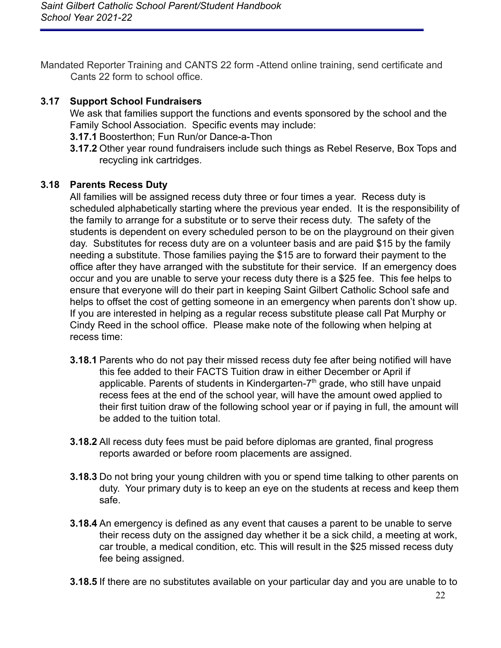Mandated Reporter Training and CANTS 22 form -Attend online training, send certificate and Cants 22 form to school office.

### <span id="page-22-0"></span>**3.17 Support School Fundraisers**

We ask that families support the functions and events sponsored by the school and the Family School Association. Specific events may include:

- **3.17.1** Boosterthon; Fun Run/or Dance-a-Thon
- **3.17.2** Other year round fundraisers include such things as Rebel Reserve, Box Tops and recycling ink cartridges.

## <span id="page-22-1"></span>**3.18 Parents Recess Duty**

All families will be assigned recess duty three or four times a year. Recess duty is scheduled alphabetically starting where the previous year ended. It is the responsibility of the family to arrange for a substitute or to serve their recess duty. The safety of the students is dependent on every scheduled person to be on the playground on their given day. Substitutes for recess duty are on a volunteer basis and are paid \$15 by the family needing a substitute. Those families paying the \$15 are to forward their payment to the office after they have arranged with the substitute for their service. If an emergency does occur and you are unable to serve your recess duty there is a \$25 fee. This fee helps to ensure that everyone will do their part in keeping Saint Gilbert Catholic School safe and helps to offset the cost of getting someone in an emergency when parents don't show up. If you are interested in helping as a regular recess substitute please call Pat Murphy or Cindy Reed in the school office. Please make note of the following when helping at recess time:

- **3.18.1** Parents who do not pay their missed recess duty fee after being notified will have this fee added to their FACTS Tuition draw in either December or April if applicable. Parents of students in Kindergarten- $7<sup>th</sup>$  grade, who still have unpaid recess fees at the end of the school year, will have the amount owed applied to their first tuition draw of the following school year or if paying in full, the amount will be added to the tuition total.
- **3.18.2** All recess duty fees must be paid before diplomas are granted, final progress reports awarded or before room placements are assigned.
- **3.18.3** Do not bring your young children with you or spend time talking to other parents on duty. Your primary duty is to keep an eye on the students at recess and keep them safe.
- **3.18.4** An emergency is defined as any event that causes a parent to be unable to serve their recess duty on the assigned day whether it be a sick child, a meeting at work, car trouble, a medical condition, etc. This will result in the \$25 missed recess duty fee being assigned.
- **3.18.5** If there are no substitutes available on your particular day and you are unable to to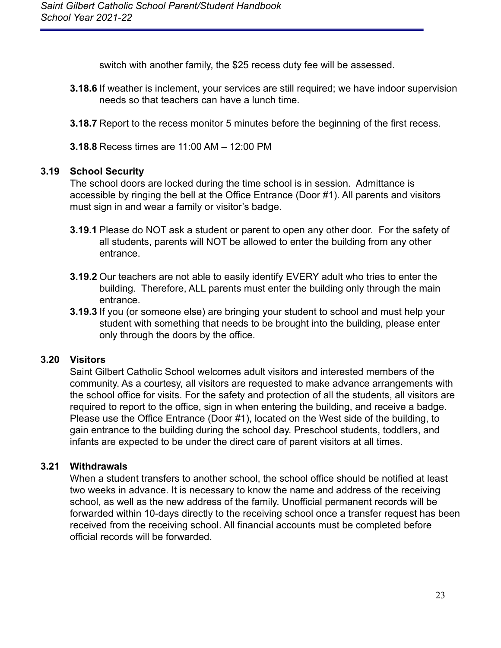switch with another family, the \$25 recess duty fee will be assessed.

- **3.18.6** If weather is inclement, your services are still required; we have indoor supervision needs so that teachers can have a lunch time.
- **3.18.7** Report to the recess monitor 5 minutes before the beginning of the first recess.
- **3.18.8** Recess times are 11:00 AM 12:00 PM

### <span id="page-23-0"></span>**3.19 School Security**

The school doors are locked during the time school is in session. Admittance is accessible by ringing the bell at the Office Entrance (Door #1). All parents and visitors must sign in and wear a family or visitor's badge.

- **3.19.1** Please do NOT ask a student or parent to open any other door. For the safety of all students, parents will NOT be allowed to enter the building from any other entrance.
- **3.19.2** Our teachers are not able to easily identify EVERY adult who tries to enter the building. Therefore, ALL parents must enter the building only through the main entrance.
- **3.19.3** If you (or someone else) are bringing your student to school and must help your student with something that needs to be brought into the building, please enter only through the doors by the office.

### <span id="page-23-1"></span>**3.20 Visitors**

Saint Gilbert Catholic School welcomes adult visitors and interested members of the community. As a courtesy, all visitors are requested to make advance arrangements with the school office for visits. For the safety and protection of all the students, all visitors are required to report to the office, sign in when entering the building, and receive a badge. Please use the Office Entrance (Door #1), located on the West side of the building, to gain entrance to the building during the school day. Preschool students, toddlers, and infants are expected to be under the direct care of parent visitors at all times.

### <span id="page-23-2"></span>**3.21 Withdrawals**

When a student transfers to another school, the school office should be notified at least two weeks in advance. It is necessary to know the name and address of the receiving school, as well as the new address of the family. Unofficial permanent records will be forwarded within 10-days directly to the receiving school once a transfer request has been received from the receiving school. All financial accounts must be completed before official records will be forwarded.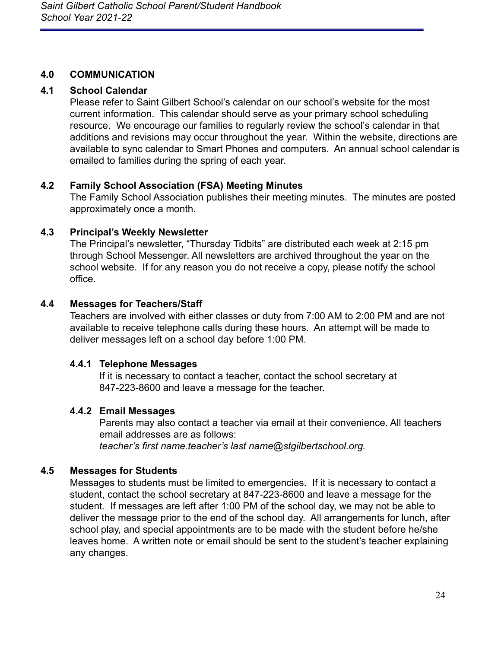### <span id="page-24-0"></span>**4.0 COMMUNICATION**

## <span id="page-24-1"></span>**4.1 School Calendar**

Please refer to Saint Gilbert School's calendar on our school's website for the most current information. This calendar should serve as your primary school scheduling resource. We encourage our families to regularly review the school's calendar in that additions and revisions may occur throughout the year. Within the website, directions are available to sync calendar to Smart Phones and computers. An annual school calendar is emailed to families during the spring of each year.

## <span id="page-24-2"></span>**4.2 Family School Association (FSA) Meeting Minutes**

The Family School Association publishes their meeting minutes. The minutes are posted approximately once a month.

## <span id="page-24-3"></span>**4.3 Principal's Weekly Newsletter**

The Principal's newsletter, "Thursday Tidbits" are distributed each week at 2:15 pm through School Messenger. All newsletters are archived throughout the year on the school website. If for any reason you do not receive a copy, please notify the school office.

## <span id="page-24-4"></span>**4.4 Messages for Teachers/Staff**

Teachers are involved with either classes or duty from 7:00 AM to 2:00 PM and are not available to receive telephone calls during these hours. An attempt will be made to deliver messages left on a school day before 1:00 PM.

### **4.4.1 Telephone Messages**

If it is necessary to contact a teacher, contact the school secretary at 847-223-8600 and leave a message for the teacher.

## **4.4.2 Email Messages**

Parents may also contact a teacher via email at their convenience. All teachers email addresses are as follows: *teacher's first name.teacher's last name@stgilbertschool.org.*

## <span id="page-24-5"></span>**4.5 Messages for Students**

Messages to students must be limited to emergencies. If it is necessary to contact a student, contact the school secretary at 847-223-8600 and leave a message for the student. If messages are left after 1:00 PM of the school day, we may not be able to deliver the message prior to the end of the school day. All arrangements for lunch, after school play, and special appointments are to be made with the student before he/she leaves home. A written note or email should be sent to the student's teacher explaining any changes.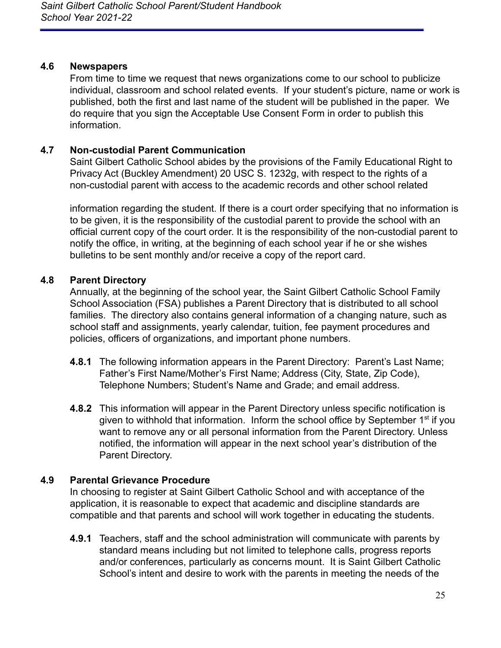#### <span id="page-25-0"></span>**4.6 Newspapers**

From time to time we request that news organizations come to our school to publicize individual, classroom and school related events. If your student's picture, name or work is published, both the first and last name of the student will be published in the paper. We do require that you sign the Acceptable Use Consent Form in order to publish this information.

### <span id="page-25-1"></span>**4.7 Non-custodial Parent Communication**

Saint Gilbert Catholic School abides by the provisions of the Family Educational Right to Privacy Act (Buckley Amendment) 20 USC S. 1232g, with respect to the rights of a non-custodial parent with access to the academic records and other school related

information regarding the student. If there is a court order specifying that no information is to be given, it is the responsibility of the custodial parent to provide the school with an official current copy of the court order. It is the responsibility of the non-custodial parent to notify the office, in writing, at the beginning of each school year if he or she wishes bulletins to be sent monthly and/or receive a copy of the report card.

## <span id="page-25-2"></span>**4.8 Parent Directory**

Annually, at the beginning of the school year, the Saint Gilbert Catholic School Family School Association (FSA) publishes a Parent Directory that is distributed to all school families. The directory also contains general information of a changing nature, such as school staff and assignments, yearly calendar, tuition, fee payment procedures and policies, officers of organizations, and important phone numbers.

- **4.8.1** The following information appears in the Parent Directory: Parent's Last Name; Father's First Name/Mother's First Name; Address (City, State, Zip Code), Telephone Numbers; Student's Name and Grade; and email address.
- **4.8.2** This information will appear in the Parent Directory unless specific notification is given to withhold that information. Inform the school office by September 1<sup>st</sup> if you want to remove any or all personal information from the Parent Directory. Unless notified, the information will appear in the next school year's distribution of the Parent Directory.

## <span id="page-25-3"></span>**4.9 Parental Grievance Procedure**

In choosing to register at Saint Gilbert Catholic School and with acceptance of the application, it is reasonable to expect that academic and discipline standards are compatible and that parents and school will work together in educating the students.

**4.9.1** Teachers, staff and the school administration will communicate with parents by standard means including but not limited to telephone calls, progress reports and/or conferences, particularly as concerns mount. It is Saint Gilbert Catholic School's intent and desire to work with the parents in meeting the needs of the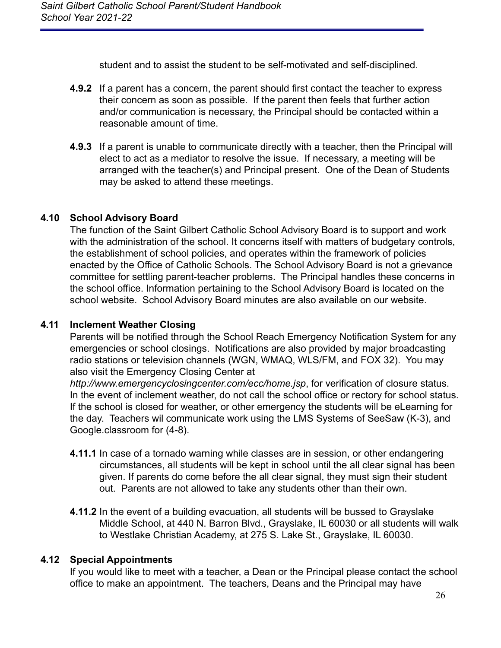student and to assist the student to be self-motivated and self-disciplined.

- **4.9.2** If a parent has a concern, the parent should first contact the teacher to express their concern as soon as possible. If the parent then feels that further action and/or communication is necessary, the Principal should be contacted within a reasonable amount of time.
- **4.9.3** If a parent is unable to communicate directly with a teacher, then the Principal will elect to act as a mediator to resolve the issue. If necessary, a meeting will be arranged with the teacher(s) and Principal present. One of the Dean of Students may be asked to attend these meetings.

## <span id="page-26-0"></span>**4.10 School Advisory Board**

The function of the Saint Gilbert Catholic School Advisory Board is to support and work with the administration of the school. It concerns itself with matters of budgetary controls, the establishment of school policies, and operates within the framework of policies enacted by the Office of Catholic Schools. The School Advisory Board is not a grievance committee for settling parent-teacher problems. The Principal handles these concerns in the school office. Information pertaining to the School Advisory Board is located on the school website. School Advisory Board minutes are also available on our website.

### <span id="page-26-1"></span>**4.11 Inclement Weather Closing**

Parents will be notified through the School Reach Emergency Notification System for any emergencies or school closings. Notifications are also provided by major broadcasting radio stations or television channels (WGN, WMAQ, WLS/FM, and FOX 32). You may also visit the Emergency Closing Center at

*http://www.emergencyclosingcenter.com/ecc/home.jsp*, for verification of closure status. In the event of inclement weather, do not call the school office or rectory for school status. If the school is closed for weather, or other emergency the students will be eLearning for the day. Teachers wil communicate work using the LMS Systems of SeeSaw (K-3), and Google.classroom for (4-8).

- **4.11.1** In case of a tornado warning while classes are in session, or other endangering circumstances, all students will be kept in school until the all clear signal has been given. If parents do come before the all clear signal, they must sign their student out. Parents are not allowed to take any students other than their own.
- **4.11.2** In the event of a building evacuation, all students will be bussed to Grayslake Middle School, at 440 N. Barron Blvd., Grayslake, IL 60030 or all students will walk to Westlake Christian Academy, at 275 S. Lake St., Grayslake, IL 60030.

### <span id="page-26-2"></span>**4.12 Special Appointments**

If you would like to meet with a teacher, a Dean or the Principal please contact the school office to make an appointment. The teachers, Deans and the Principal may have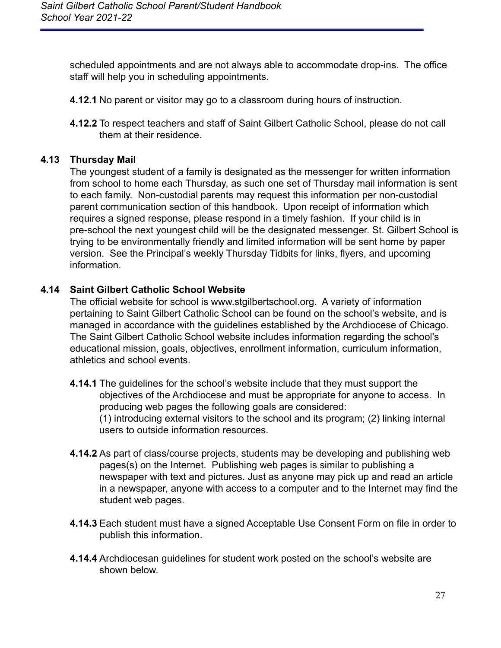scheduled appointments and are not always able to accommodate drop-ins. The office staff will help you in scheduling appointments.

- **4.12.1** No parent or visitor may go to a classroom during hours of instruction.
- **4.12.2** To respect teachers and staff of Saint Gilbert Catholic School, please do not call them at their residence.

### <span id="page-27-0"></span>**4.13 Thursday Mail**

The youngest student of a family is designated as the messenger for written information from school to home each Thursday, as such one set of Thursday mail information is sent to each family. Non-custodial parents may request this information per non-custodial parent communication section of this handbook. Upon receipt of information which requires a signed response, please respond in a timely fashion. If your child is in pre-school the next youngest child will be the designated messenger. St. Gilbert School is trying to be environmentally friendly and limited information will be sent home by paper version. See the Principal's weekly Thursday Tidbits for links, flyers, and upcoming information.

### <span id="page-27-1"></span>**4.14 Saint Gilbert Catholic School Website**

The official website for school is www.stgilbertschool.org. A variety of information pertaining to Saint Gilbert Catholic School can be found on the school's website, and is managed in accordance with the guidelines established by the Archdiocese of Chicago. The Saint Gilbert Catholic School website includes information regarding the school's educational mission, goals, objectives, enrollment information, curriculum information, athletics and school events.

- **4.14.1** The guidelines for the school's website include that they must support the objectives of the Archdiocese and must be appropriate for anyone to access. In producing web pages the following goals are considered: (1) introducing external visitors to the school and its program; (2) linking internal users to outside information resources.
- **4.14.2** As part of class/course projects, students may be developing and publishing web pages(s) on the Internet. Publishing web pages is similar to publishing a newspaper with text and pictures. Just as anyone may pick up and read an article in a newspaper, anyone with access to a computer and to the Internet may find the student web pages.
- **4.14.3** Each student must have a signed Acceptable Use Consent Form on file in order to publish this information.
- **4.14.4** Archdiocesan guidelines for student work posted on the school's website are shown below.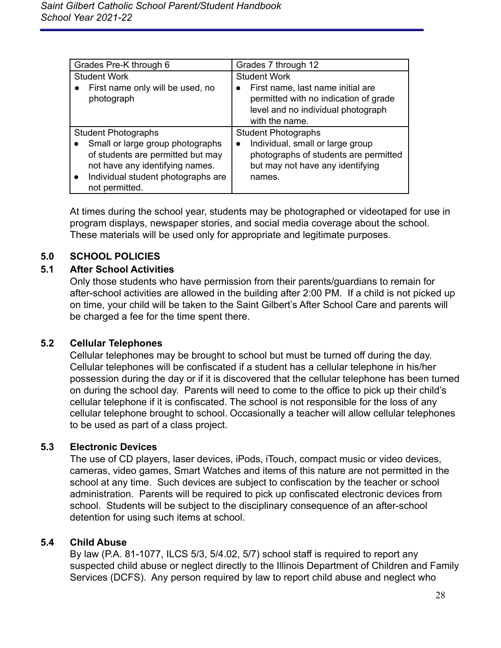| Grades Pre-K through 6                                                                                                                                                        | Grades 7 through 12                                                                                                                  |  |
|-------------------------------------------------------------------------------------------------------------------------------------------------------------------------------|--------------------------------------------------------------------------------------------------------------------------------------|--|
| <b>Student Work</b>                                                                                                                                                           | <b>Student Work</b>                                                                                                                  |  |
| First name only will be used, no<br>photograph                                                                                                                                | First name, last name initial are<br>permitted with no indication of grade<br>level and no individual photograph<br>with the name.   |  |
| <b>Student Photographs</b>                                                                                                                                                    | <b>Student Photographs</b>                                                                                                           |  |
| Small or large group photographs<br>of students are permitted but may<br>not have any identifying names.<br>Individual student photographs are<br>$\bullet$<br>not permitted. | Individual, small or large group<br>$\bullet$<br>photographs of students are permitted<br>but may not have any identifying<br>names. |  |

At times during the school year, students may be photographed or videotaped for use in program displays, newspaper stories, and social media coverage about the school. These materials will be used only for appropriate and legitimate purposes.

### <span id="page-28-0"></span>**5.0 SCHOOL POLICIES**

### <span id="page-28-1"></span>**5.1 After School Activities**

Only those students who have permission from their parents/guardians to remain for after-school activities are allowed in the building after 2:00 PM. If a child is not picked up on time, your child will be taken to the Saint Gilbert's After School Care and parents will be charged a fee for the time spent there.

#### <span id="page-28-2"></span>**5.2 Cellular Telephones**

Cellular telephones may be brought to school but must be turned off during the day. Cellular telephones will be confiscated if a student has a cellular telephone in his/her possession during the day or if it is discovered that the cellular telephone has been turned on during the school day. Parents will need to come to the office to pick up their child's cellular telephone if it is confiscated. The school is not responsible for the loss of any cellular telephone brought to school. Occasionally a teacher will allow cellular telephones to be used as part of a class project.

#### <span id="page-28-3"></span>**5.3 Electronic Devices**

The use of CD players, laser devices, iPods, iTouch, compact music or video devices, cameras, video games, Smart Watches and items of this nature are not permitted in the school at any time. Such devices are subject to confiscation by the teacher or school administration. Parents will be required to pick up confiscated electronic devices from school. Students will be subject to the disciplinary consequence of an after-school detention for using such items at school.

#### <span id="page-28-4"></span>**5.4 Child Abuse**

By law (P.A. 81-1077, ILCS 5/3, 5/4.02, 5/7) school staff is required to report any suspected child abuse or neglect directly to the Illinois Department of Children and Family Services (DCFS). Any person required by law to report child abuse and neglect who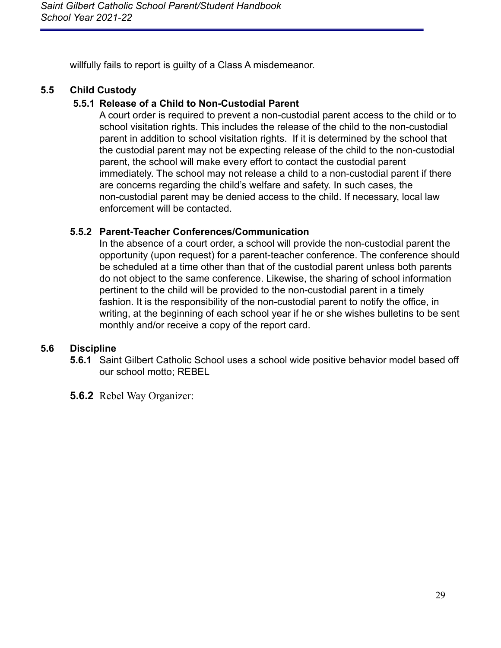willfully fails to report is guilty of a Class A misdemeanor.

## <span id="page-29-0"></span>**5.5 Child Custody**

### **5.5.1 Release of a Child to Non-Custodial Parent**

A court order is required to prevent a non-custodial parent access to the child or to school visitation rights. This includes the release of the child to the non-custodial parent in addition to school visitation rights. If it is determined by the school that the custodial parent may not be expecting release of the child to the non-custodial parent, the school will make every effort to contact the custodial parent immediately. The school may not release a child to a non-custodial parent if there are concerns regarding the child's welfare and safety. In such cases, the non-custodial parent may be denied access to the child. If necessary, local law enforcement will be contacted.

### **5.5.2 Parent-Teacher Conferences/Communication**

In the absence of a court order, a school will provide the non-custodial parent the opportunity (upon request) for a parent-teacher conference. The conference should be scheduled at a time other than that of the custodial parent unless both parents do not object to the same conference. Likewise, the sharing of school information pertinent to the child will be provided to the non-custodial parent in a timely fashion. It is the responsibility of the non-custodial parent to notify the office, in writing, at the beginning of each school year if he or she wishes bulletins to be sent monthly and/or receive a copy of the report card.

### <span id="page-29-1"></span>**5.6 Discipline**

- **5.6.1** Saint Gilbert Catholic School uses a school wide positive behavior model based off our school motto; REBEL
- **5.6.2** Rebel Way Organizer: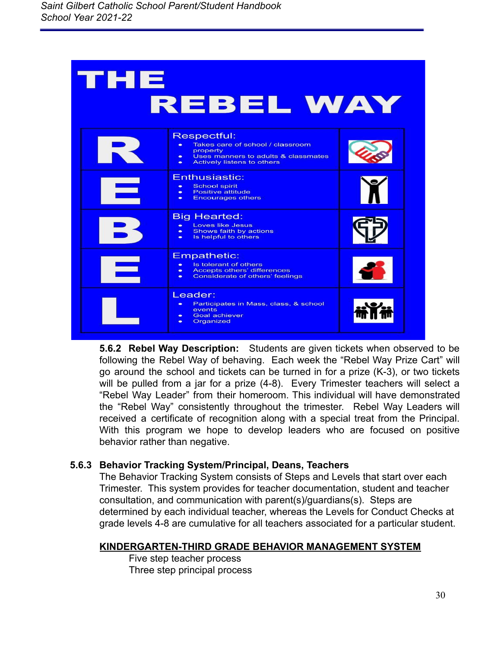| тне            | <b>REBEL WAY</b>                                                                                                                                                  |  |
|----------------|-------------------------------------------------------------------------------------------------------------------------------------------------------------------|--|
|                | Respectful:<br>Takes care of school / classroom<br>property<br>Uses manners to adults & classmates<br>$\bullet$<br><b>Actively listens to others</b><br>$\bullet$ |  |
|                | Enthusiastic:<br><b>School spirit</b><br>$\bullet$<br><b>Positive attitude</b><br><b>Encourages others</b><br>$\bullet$                                           |  |
|                | <b>Big Hearted:</b><br><b>Loves like Jesus</b><br>$\bullet$<br>Shows faith by actions<br>$\bullet$<br>Is helpful to others<br>$\bullet$                           |  |
| <b>Service</b> | <b>Empathetic:</b><br>Is tolerant of others<br>$\bullet$<br><b>Accepts others' differences</b><br>$\bullet$<br>Considerate of others' feelings<br>$\bullet$       |  |
|                | Leader:<br>Participates in Mass, class, & school<br>events<br><b>Goal achiever</b><br>$\bullet$<br>Organized<br>$\bullet$                                         |  |

**5.6.2 Rebel Way Description:** Students are given tickets when observed to be following the Rebel Way of behaving. Each week the "Rebel Way Prize Cart" will go around the school and tickets can be turned in for a prize (K-3), or two tickets will be pulled from a jar for a prize (4-8). Every Trimester teachers will select a "Rebel Way Leader" from their homeroom. This individual will have demonstrated the "Rebel Way" consistently throughout the trimester. Rebel Way Leaders will received a certificate of recognition along with a special treat from the Principal. With this program we hope to develop leaders who are focused on positive behavior rather than negative.

### **5.6.3 Behavior Tracking System/Principal, Deans, Teachers**

The Behavior Tracking System consists of Steps and Levels that start over each Trimester. This system provides for teacher documentation, student and teacher consultation, and communication with parent(s)/guardians(s). Steps are determined by each individual teacher, whereas the Levels for Conduct Checks at grade levels 4-8 are cumulative for all teachers associated for a particular student.

### **KINDERGARTEN-THIRD GRADE BEHAVIOR MANAGEMENT SYSTEM**

Five step teacher process Three step principal process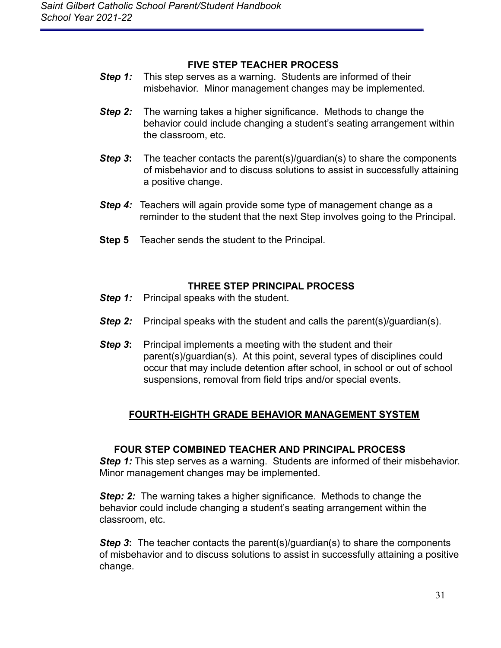#### **FIVE STEP TEACHER PROCESS**

- **Step 1:** This step serves as a warning. Students are informed of their misbehavior. Minor management changes may be implemented.
- **Step 2:** The warning takes a higher significance. Methods to change the behavior could include changing a student's seating arrangement within the classroom, etc.
- **Step 3:** The teacher contacts the parent(s)/quardian(s) to share the components of misbehavior and to discuss solutions to assist in successfully attaining a positive change.
- **Step 4:** Teachers will again provide some type of management change as a reminder to the student that the next Step involves going to the Principal.
- **Step 5** Teacher sends the student to the Principal.

### **THREE STEP PRINCIPAL PROCESS**

- *Step 1:* Principal speaks with the student.
- **Step 2:** Principal speaks with the student and calls the parent(s)/guardian(s).
- **Step 3:** Principal implements a meeting with the student and their parent(s)/guardian(s). At this point, several types of disciplines could occur that may include detention after school, in school or out of school suspensions, removal from field trips and/or special events.

## **FOURTH-EIGHTH GRADE BEHAVIOR MANAGEMENT SYSTEM**

### **FOUR STEP COMBINED TEACHER AND PRINCIPAL PROCESS**

**Step 1:** This step serves as a warning. Students are informed of their misbehavior. Minor management changes may be implemented.

*Step: 2:* The warning takes a higher significance. Methods to change the behavior could include changing a student's seating arrangement within the classroom, etc.

**Step 3:** The teacher contacts the parent(s)/guardian(s) to share the components of misbehavior and to discuss solutions to assist in successfully attaining a positive change.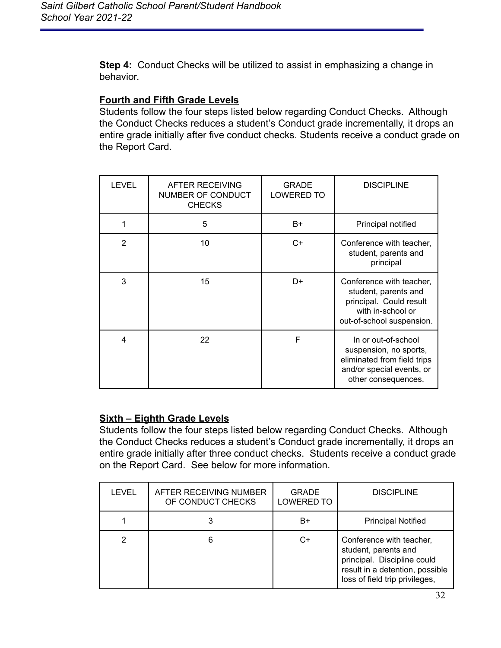**Step 4:** Conduct Checks will be utilized to assist in emphasizing a change in behavior.

### **Fourth and Fifth Grade Levels**

Students follow the four steps listed below regarding Conduct Checks. Although the Conduct Checks reduces a student's Conduct grade incrementally, it drops an entire grade initially after five conduct checks. Students receive a conduct grade on the Report Card.

| <b>LEVEL</b>   | AFTER RECEIVING<br>NUMBER OF CONDUCT<br><b>CHECKS</b> | <b>GRADE</b><br><b>LOWERED TO</b> | <b>DISCIPLINE</b>                                                                                                                |
|----------------|-------------------------------------------------------|-----------------------------------|----------------------------------------------------------------------------------------------------------------------------------|
| 1              | 5                                                     | B+                                | Principal notified                                                                                                               |
| $\overline{2}$ | 10                                                    | C+                                | Conference with teacher,<br>student, parents and<br>principal                                                                    |
| 3              | 15                                                    | D+                                | Conference with teacher,<br>student, parents and<br>principal. Could result<br>with in-school or<br>out-of-school suspension.    |
| 4              | 22                                                    | F                                 | In or out-of-school<br>suspension, no sports,<br>eliminated from field trips<br>and/or special events, or<br>other consequences. |

## **Sixth – Eighth Grade Levels**

Students follow the four steps listed below regarding Conduct Checks. Although the Conduct Checks reduces a student's Conduct grade incrementally, it drops an entire grade initially after three conduct checks. Students receive a conduct grade on the Report Card. See below for more information.

| <b>LEVEL</b> | AFTER RECEIVING NUMBER<br>OF CONDUCT CHECKS | <b>GRADE</b><br><b>LOWERED TO</b> | <b>DISCIPLINE</b>                                                                                                                                    |
|--------------|---------------------------------------------|-----------------------------------|------------------------------------------------------------------------------------------------------------------------------------------------------|
|              |                                             | B+                                | <b>Principal Notified</b>                                                                                                                            |
|              | 6                                           | C+                                | Conference with teacher,<br>student, parents and<br>principal. Discipline could<br>result in a detention, possible<br>loss of field trip privileges, |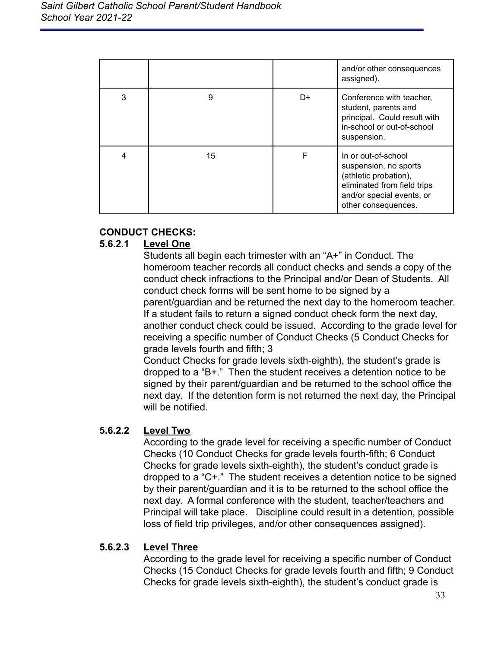|   |    |    | and/or other consequences<br>assigned).                                                                                                                  |
|---|----|----|----------------------------------------------------------------------------------------------------------------------------------------------------------|
| 3 | 9  | D+ | Conference with teacher,<br>student, parents and<br>principal. Could result with<br>in-school or out-of-school<br>suspension.                            |
| 4 | 15 | F  | In or out-of-school<br>suspension, no sports<br>(athletic probation),<br>eliminated from field trips<br>and/or special events, or<br>other consequences. |

### **CONDUCT CHECKS:**

### **5.6.2.1 Level One**

Students all begin each trimester with an "A+" in Conduct. The homeroom teacher records all conduct checks and sends a copy of the conduct check infractions to the Principal and/or Dean of Students. All conduct check forms will be sent home to be signed by a parent/guardian and be returned the next day to the homeroom teacher. If a student fails to return a signed conduct check form the next day, another conduct check could be issued. According to the grade level for receiving a specific number of Conduct Checks (5 Conduct Checks for grade levels fourth and fifth; 3

Conduct Checks for grade levels sixth-eighth), the student's grade is dropped to a "B+." Then the student receives a detention notice to be signed by their parent/guardian and be returned to the school office the next day. If the detention form is not returned the next day, the Principal will be notified.

### **5.6.2.2 Level Two**

According to the grade level for receiving a specific number of Conduct Checks (10 Conduct Checks for grade levels fourth-fifth; 6 Conduct Checks for grade levels sixth-eighth), the student's conduct grade is dropped to a "C+." The student receives a detention notice to be signed by their parent/guardian and it is to be returned to the school office the next day. A formal conference with the student, teacher/teachers and Principal will take place. Discipline could result in a detention, possible loss of field trip privileges, and/or other consequences assigned).

#### **5.6.2.3 Level Three**

According to the grade level for receiving a specific number of Conduct Checks (15 Conduct Checks for grade levels fourth and fifth; 9 Conduct Checks for grade levels sixth-eighth), the student's conduct grade is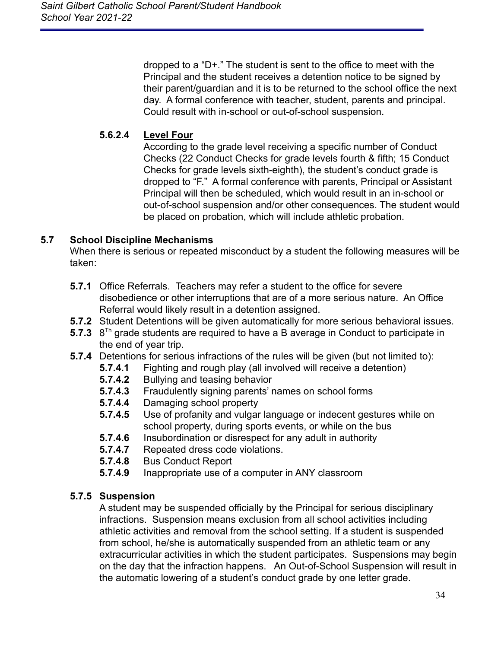dropped to a "D+." The student is sent to the office to meet with the Principal and the student receives a detention notice to be signed by their parent/guardian and it is to be returned to the school office the next day. A formal conference with teacher, student, parents and principal. Could result with in-school or out-of-school suspension.

## **5.6.2.4 Level Four**

According to the grade level receiving a specific number of Conduct Checks (22 Conduct Checks for grade levels fourth & fifth; 15 Conduct Checks for grade levels sixth-eighth), the student's conduct grade is dropped to "F." A formal conference with parents, Principal or Assistant Principal will then be scheduled, which would result in an in-school or out-of-school suspension and/or other consequences. The student would be placed on probation, which will include athletic probation.

## <span id="page-34-0"></span>**5.7 School Discipline Mechanisms**

When there is serious or repeated misconduct by a student the following measures will be taken:

- **5.7.1** Office Referrals. Teachers may refer a student to the office for severe disobedience or other interruptions that are of a more serious nature. An Office Referral would likely result in a detention assigned.
- **5.7.2** Student Detentions will be given automatically for more serious behavioral issues.
- 5.7.3 8<sup>Th</sup> grade students are required to have a B average in Conduct to participate in the end of year trip.
- **5.7.4** Detentions for serious infractions of the rules will be given (but not limited to):
	- **5.7.4.1** Fighting and rough play (all involved will receive a detention)
	- **5.7.4.2** Bullying and teasing behavior
	- **5.7.4.3** Fraudulently signing parents' names on school forms
	- **5.7.4.4** Damaging school property
	- **5.7.4.5** Use of profanity and vulgar language or indecent gestures while on school property, during sports events, or while on the bus
	- **5.7.4.6** Insubordination or disrespect for any adult in authority
	- **5.7.4.7** Repeated dress code violations.
	- **5.7.4.8** Bus Conduct Report
	- **5.7.4.9** Inappropriate use of a computer in ANY classroom

### **5.7.5 Suspension**

A student may be suspended officially by the Principal for serious disciplinary infractions. Suspension means exclusion from all school activities including athletic activities and removal from the school setting. If a student is suspended from school, he/she is automatically suspended from an athletic team or any extracurricular activities in which the student participates. Suspensions may begin on the day that the infraction happens. An Out-of-School Suspension will result in the automatic lowering of a student's conduct grade by one letter grade.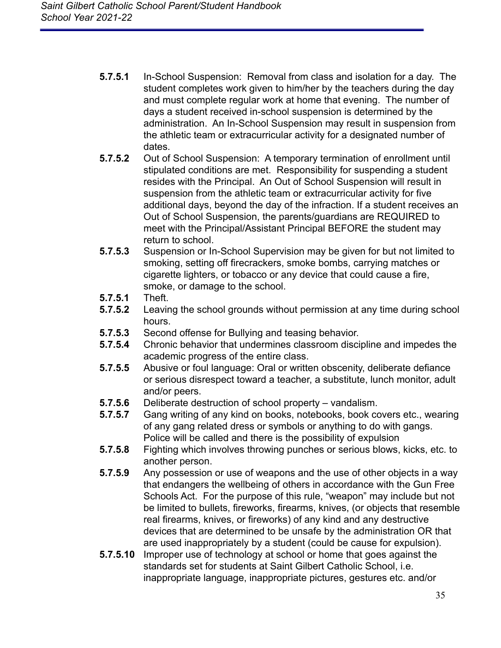- **5.7.5.1** In-School Suspension: Removal from class and isolation for a day. The student completes work given to him/her by the teachers during the day and must complete regular work at home that evening. The number of days a student received in-school suspension is determined by the administration. An In-School Suspension may result in suspension from the athletic team or extracurricular activity for a designated number of dates.
- **5.7.5.2** Out of School Suspension: A temporary termination of enrollment until stipulated conditions are met. Responsibility for suspending a student resides with the Principal. An Out of School Suspension will result in suspension from the athletic team or extracurricular activity for five additional days, beyond the day of the infraction. If a student receives an Out of School Suspension, the parents/guardians are REQUIRED to meet with the Principal/Assistant Principal BEFORE the student may return to school.
- **5.7.5.3** Suspension or In-School Supervision may be given for but not limited to smoking, setting off firecrackers, smoke bombs, carrying matches or cigarette lighters, or tobacco or any device that could cause a fire, smoke, or damage to the school.
- **5.7.5.1** Theft.
- **5.7.5.2** Leaving the school grounds without permission at any time during school hours.
- **5.7.5.3** Second offense for Bullying and teasing behavior.
- **5.7.5.4** Chronic behavior that undermines classroom discipline and impedes the academic progress of the entire class.
- **5.7.5.5** Abusive or foul language: Oral or written obscenity, deliberate defiance or serious disrespect toward a teacher, a substitute, lunch monitor, adult and/or peers.
- **5.7.5.6** Deliberate destruction of school property vandalism.
- **5.7.5.7** Gang writing of any kind on books, notebooks, book covers etc., wearing of any gang related dress or symbols or anything to do with gangs. Police will be called and there is the possibility of expulsion
- **5.7.5.8** Fighting which involves throwing punches or serious blows, kicks, etc. to another person.
- **5.7.5.9** Any possession or use of weapons and the use of other objects in a way that endangers the wellbeing of others in accordance with the Gun Free Schools Act. For the purpose of this rule, "weapon" may include but not be limited to bullets, fireworks, firearms, knives, (or objects that resemble real firearms, knives, or fireworks) of any kind and any destructive devices that are determined to be unsafe by the administration OR that are used inappropriately by a student (could be cause for expulsion).
- **5.7.5.10** Improper use of technology at school or home that goes against the standards set for students at Saint Gilbert Catholic School, i.e. inappropriate language, inappropriate pictures, gestures etc. and/or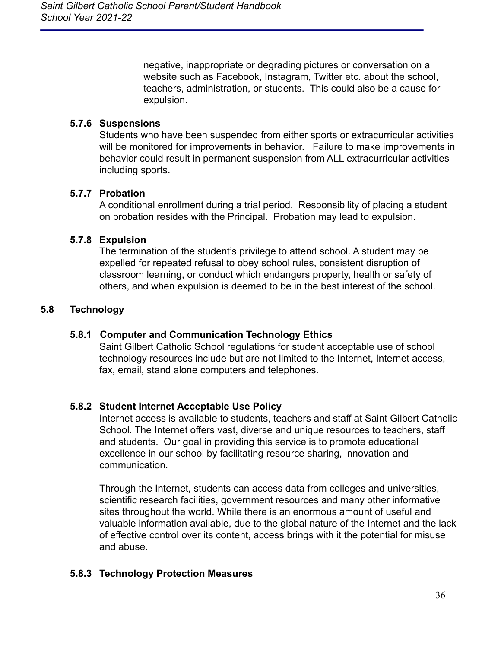negative, inappropriate or degrading pictures or conversation on a website such as Facebook, Instagram, Twitter etc. about the school, teachers, administration, or students. This could also be a cause for expulsion.

### **5.7.6 Suspensions**

Students who have been suspended from either sports or extracurricular activities will be monitored for improvements in behavior. Failure to make improvements in behavior could result in permanent suspension from ALL extracurricular activities including sports.

### **5.7.7 Probation**

A conditional enrollment during a trial period. Responsibility of placing a student on probation resides with the Principal. Probation may lead to expulsion.

### **5.7.8 Expulsion**

The termination of the student's privilege to attend school. A student may be expelled for repeated refusal to obey school rules, consistent disruption of classroom learning, or conduct which endangers property, health or safety of others, and when expulsion is deemed to be in the best interest of the school.

### <span id="page-36-1"></span><span id="page-36-0"></span>**5.8 Technology**

#### **5.8.1 Computer and Communication Technology Ethics**

Saint Gilbert Catholic School regulations for student acceptable use of school technology resources include but are not limited to the Internet, Internet access, fax, email, stand alone computers and telephones.

#### <span id="page-36-2"></span>**5.8.2 Student Internet Acceptable Use Policy**

Internet access is available to students, teachers and staff at Saint Gilbert Catholic School. The Internet offers vast, diverse and unique resources to teachers, staff and students. Our goal in providing this service is to promote educational excellence in our school by facilitating resource sharing, innovation and communication.

Through the Internet, students can access data from colleges and universities, scientific research facilities, government resources and many other informative sites throughout the world. While there is an enormous amount of useful and valuable information available, due to the global nature of the Internet and the lack of effective control over its content, access brings with it the potential for misuse and abuse.

### <span id="page-36-3"></span>**5.8.3 Technology Protection Measures**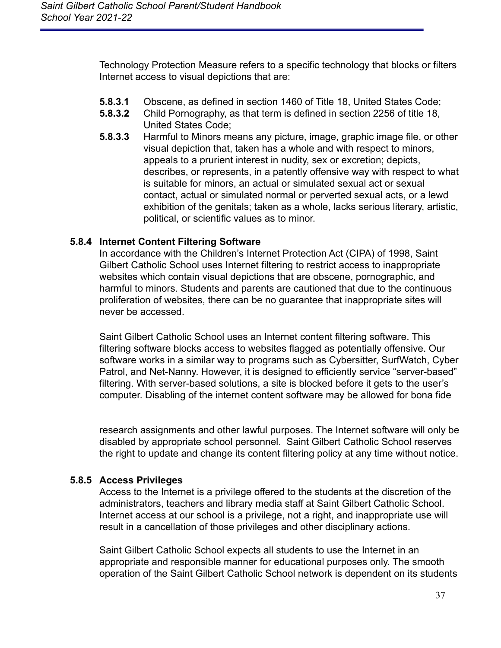Technology Protection Measure refers to a specific technology that blocks or filters Internet access to visual depictions that are:

- **5.8.3.1** Obscene, as defined in section 1460 of Title 18, United States Code;
- **5.8.3.2** Child Pornography, as that term is defined in section 2256 of title 18, United States Code;
- **5.8.3.3** Harmful to Minors means any picture, image, graphic image file, or other visual depiction that, taken has a whole and with respect to minors, appeals to a prurient interest in nudity, sex or excretion; depicts, describes, or represents, in a patently offensive way with respect to what is suitable for minors, an actual or simulated sexual act or sexual contact, actual or simulated normal or perverted sexual acts, or a lewd exhibition of the genitals; taken as a whole, lacks serious literary, artistic, political, or scientific values as to minor.

### <span id="page-37-0"></span>**5.8.4 Internet Content Filtering Software**

In accordance with the Children's Internet Protection Act (CIPA) of 1998, Saint Gilbert Catholic School uses Internet filtering to restrict access to inappropriate websites which contain visual depictions that are obscene, pornographic, and harmful to minors. Students and parents are cautioned that due to the continuous proliferation of websites, there can be no guarantee that inappropriate sites will never be accessed.

Saint Gilbert Catholic School uses an Internet content filtering software. This filtering software blocks access to websites flagged as potentially offensive. Our software works in a similar way to programs such as Cybersitter, SurfWatch, Cyber Patrol, and Net-Nanny. However, it is designed to efficiently service "server-based" filtering. With server-based solutions, a site is blocked before it gets to the user's computer. Disabling of the internet content software may be allowed for bona fide

research assignments and other lawful purposes. The Internet software will only be disabled by appropriate school personnel. Saint Gilbert Catholic School reserves the right to update and change its content filtering policy at any time without notice.

### <span id="page-37-1"></span>**5.8.5 Access Privileges**

Access to the Internet is a privilege offered to the students at the discretion of the administrators, teachers and library media staff at Saint Gilbert Catholic School. Internet access at our school is a privilege, not a right, and inappropriate use will result in a cancellation of those privileges and other disciplinary actions.

Saint Gilbert Catholic School expects all students to use the Internet in an appropriate and responsible manner for educational purposes only. The smooth operation of the Saint Gilbert Catholic School network is dependent on its students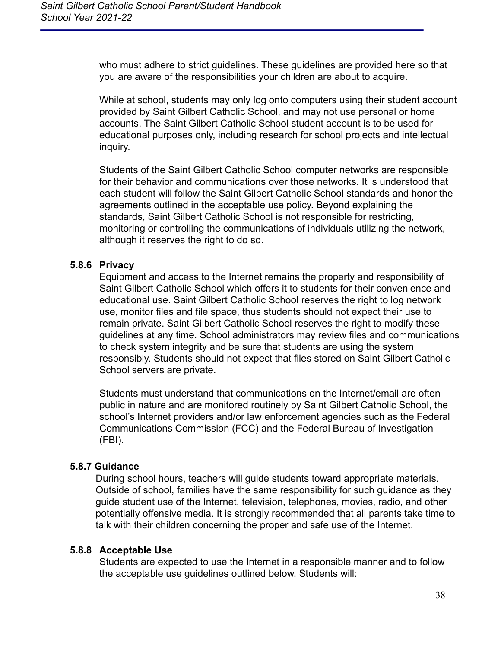who must adhere to strict guidelines. These guidelines are provided here so that you are aware of the responsibilities your children are about to acquire.

While at school, students may only log onto computers using their student account provided by Saint Gilbert Catholic School, and may not use personal or home accounts. The Saint Gilbert Catholic School student account is to be used for educational purposes only, including research for school projects and intellectual inquiry.

Students of the Saint Gilbert Catholic School computer networks are responsible for their behavior and communications over those networks. It is understood that each student will follow the Saint Gilbert Catholic School standards and honor the agreements outlined in the acceptable use policy. Beyond explaining the standards, Saint Gilbert Catholic School is not responsible for restricting, monitoring or controlling the communications of individuals utilizing the network, although it reserves the right to do so.

### <span id="page-38-0"></span>**5.8.6 Privacy**

Equipment and access to the Internet remains the property and responsibility of Saint Gilbert Catholic School which offers it to students for their convenience and educational use. Saint Gilbert Catholic School reserves the right to log network use, monitor files and file space, thus students should not expect their use to remain private. Saint Gilbert Catholic School reserves the right to modify these guidelines at any time. School administrators may review files and communications to check system integrity and be sure that students are using the system responsibly. Students should not expect that files stored on Saint Gilbert Catholic School servers are private.

Students must understand that communications on the Internet/email are often public in nature and are monitored routinely by Saint Gilbert Catholic School, the school's Internet providers and/or law enforcement agencies such as the Federal Communications Commission (FCC) and the Federal Bureau of Investigation (FBI).

#### <span id="page-38-1"></span>**5.8.7 Guidance**

During school hours, teachers will guide students toward appropriate materials. Outside of school, families have the same responsibility for such guidance as they guide student use of the Internet, television, telephones, movies, radio, and other potentially offensive media. It is strongly recommended that all parents take time to talk with their children concerning the proper and safe use of the Internet.

#### <span id="page-38-2"></span>**5.8.8 Acceptable Use**

Students are expected to use the Internet in a responsible manner and to follow the acceptable use guidelines outlined below. Students will: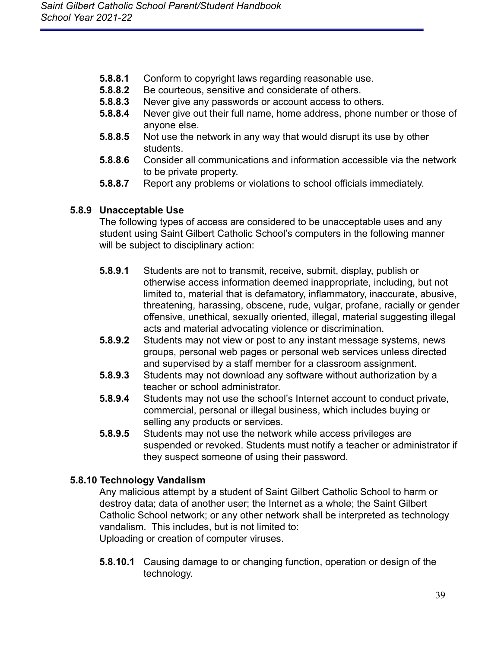- **5.8.8.1** Conform to copyright laws regarding reasonable use.
- **5.8.8.2** Be courteous, sensitive and considerate of others.
- **5.8.8.3** Never give any passwords or account access to others.
- **5.8.8.4** Never give out their full name, home address, phone number or those of anyone else.
- **5.8.8.5** Not use the network in any way that would disrupt its use by other students.
- **5.8.8.6** Consider all communications and information accessible via the network to be private property.
- **5.8.8.7** Report any problems or violations to school officials immediately.

### <span id="page-39-0"></span>**5.8.9 Unacceptable Use**

The following types of access are considered to be unacceptable uses and any student using Saint Gilbert Catholic School's computers in the following manner will be subject to disciplinary action:

- **5.8.9.1** Students are not to transmit, receive, submit, display, publish or otherwise access information deemed inappropriate, including, but not limited to, material that is defamatory, inflammatory, inaccurate, abusive, threatening, harassing, obscene, rude, vulgar, profane, racially or gender offensive, unethical, sexually oriented, illegal, material suggesting illegal acts and material advocating violence or discrimination.
- **5.8.9.2** Students may not view or post to any instant message systems, news groups, personal web pages or personal web services unless directed and supervised by a staff member for a classroom assignment.
- **5.8.9.3** Students may not download any software without authorization by a teacher or school administrator.
- **5.8.9.4** Students may not use the school's Internet account to conduct private, commercial, personal or illegal business, which includes buying or selling any products or services.
- **5.8.9.5** Students may not use the network while access privileges are suspended or revoked. Students must notify a teacher or administrator if they suspect someone of using their password.

### <span id="page-39-1"></span>**5.8.10 Technology Vandalism**

Any malicious attempt by a student of Saint Gilbert Catholic School to harm or destroy data; data of another user; the Internet as a whole; the Saint Gilbert Catholic School network; or any other network shall be interpreted as technology vandalism. This includes, but is not limited to: Uploading or creation of computer viruses.

**5.8.10.1** Causing damage to or changing function, operation or design of the technology.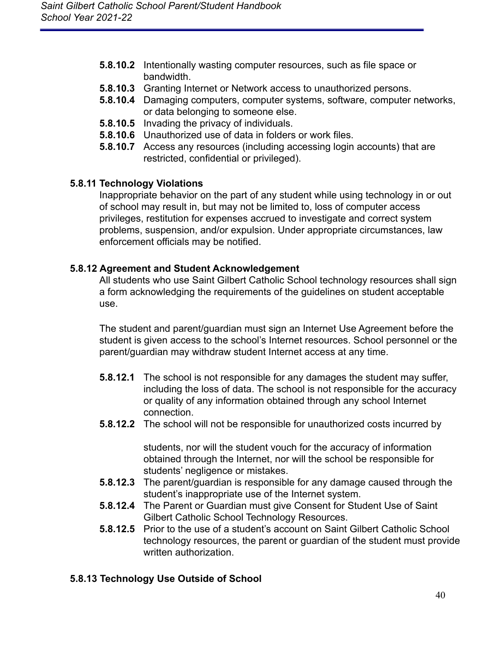- **5.8.10.2** Intentionally wasting computer resources, such as file space or bandwidth.
- **5.8.10.3** Granting Internet or Network access to unauthorized persons.
- **5.8.10.4** Damaging computers, computer systems, software, computer networks, or data belonging to someone else.
- **5.8.10.5** Invading the privacy of individuals.
- **5.8.10.6** Unauthorized use of data in folders or work files.
- **5.8.10.7** Access any resources (including accessing login accounts) that are restricted, confidential or privileged).

### <span id="page-40-0"></span>**5.8.11 Technology Violations**

Inappropriate behavior on the part of any student while using technology in or out of school may result in, but may not be limited to, loss of computer access privileges, restitution for expenses accrued to investigate and correct system problems, suspension, and/or expulsion. Under appropriate circumstances, law enforcement officials may be notified.

### <span id="page-40-1"></span>**5.8.12 Agreement and Student Acknowledgement**

All students who use Saint Gilbert Catholic School technology resources shall sign a form acknowledging the requirements of the guidelines on student acceptable use.

The student and parent/guardian must sign an Internet Use Agreement before the student is given access to the school's Internet resources. School personnel or the parent/guardian may withdraw student Internet access at any time.

- **5.8.12.1** The school is not responsible for any damages the student may suffer, including the loss of data. The school is not responsible for the accuracy or quality of any information obtained through any school Internet connection.
- **5.8.12.2** The school will not be responsible for unauthorized costs incurred by

students, nor will the student vouch for the accuracy of information obtained through the Internet, nor will the school be responsible for students' negligence or mistakes.

- **5.8.12.3** The parent/guardian is responsible for any damage caused through the student's inappropriate use of the Internet system.
- **5.8.12.4** The Parent or Guardian must give Consent for Student Use of Saint Gilbert Catholic School Technology Resources.
- **5.8.12.5** Prior to the use of a student's account on Saint Gilbert Catholic School technology resources, the parent or guardian of the student must provide written authorization.

### <span id="page-40-2"></span>**5.8.13 Technology Use Outside of School**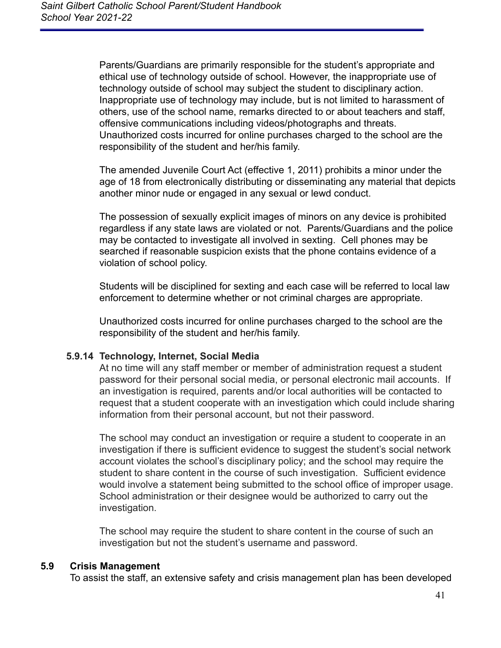Parents/Guardians are primarily responsible for the student's appropriate and ethical use of technology outside of school. However, the inappropriate use of technology outside of school may subject the student to disciplinary action. Inappropriate use of technology may include, but is not limited to harassment of others, use of the school name, remarks directed to or about teachers and staff, offensive communications including videos/photographs and threats. Unauthorized costs incurred for online purchases charged to the school are the responsibility of the student and her/his family.

The amended Juvenile Court Act (effective 1, 2011) prohibits a minor under the age of 18 from electronically distributing or disseminating any material that depicts another minor nude or engaged in any sexual or lewd conduct.

The possession of sexually explicit images of minors on any device is prohibited regardless if any state laws are violated or not. Parents/Guardians and the police may be contacted to investigate all involved in sexting. Cell phones may be searched if reasonable suspicion exists that the phone contains evidence of a violation of school policy.

Students will be disciplined for sexting and each case will be referred to local law enforcement to determine whether or not criminal charges are appropriate.

Unauthorized costs incurred for online purchases charged to the school are the responsibility of the student and her/his family.

#### **5.9.14 Technology, Internet, Social Media**

At no time will any staff member or member of administration request a student password for their personal social media, or personal electronic mail accounts. If an investigation is required, parents and/or local authorities will be contacted to request that a student cooperate with an investigation which could include sharing information from their personal account, but not their password.

The school may conduct an investigation or require a student to cooperate in an investigation if there is sufficient evidence to suggest the student's social network account violates the school's disciplinary policy; and the school may require the student to share content in the course of such investigation. Sufficient evidence would involve a statement being submitted to the school office of improper usage. School administration or their designee would be authorized to carry out the investigation.

The school may require the student to share content in the course of such an investigation but not the student's username and password.

#### <span id="page-41-0"></span>**5.9 Crisis Management**

To assist the staff, an extensive safety and crisis management plan has been developed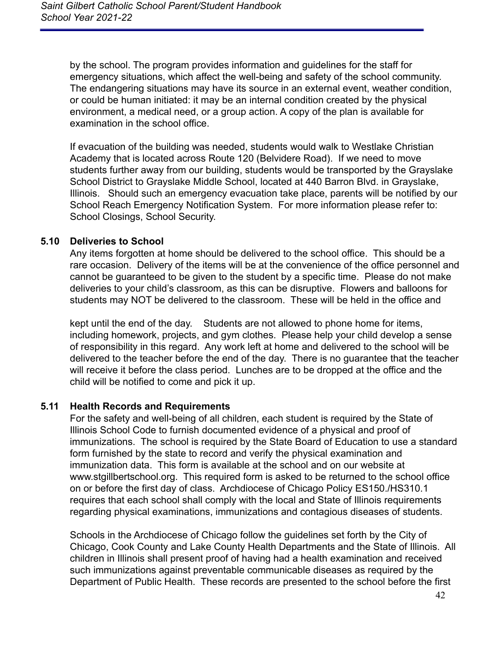by the school. The program provides information and guidelines for the staff for emergency situations, which affect the well-being and safety of the school community. The endangering situations may have its source in an external event, weather condition, or could be human initiated: it may be an internal condition created by the physical environment, a medical need, or a group action. A copy of the plan is available for examination in the school office.

If evacuation of the building was needed, students would walk to Westlake Christian Academy that is located across Route 120 (Belvidere Road). If we need to move students further away from our building, students would be transported by the Grayslake School District to Grayslake Middle School, located at 440 Barron Blvd. in Grayslake, Illinois. Should such an emergency evacuation take place, parents will be notified by our School Reach Emergency Notification System. For more information please refer to: School Closings, School Security.

### <span id="page-42-0"></span>**5.10 Deliveries to School**

Any items forgotten at home should be delivered to the school office. This should be a rare occasion. Delivery of the items will be at the convenience of the office personnel and cannot be guaranteed to be given to the student by a specific time. Please do not make deliveries to your child's classroom, as this can be disruptive. Flowers and balloons for students may NOT be delivered to the classroom. These will be held in the office and

kept until the end of the day. Students are not allowed to phone home for items, including homework, projects, and gym clothes. Please help your child develop a sense of responsibility in this regard. Any work left at home and delivered to the school will be delivered to the teacher before the end of the day. There is no guarantee that the teacher will receive it before the class period. Lunches are to be dropped at the office and the child will be notified to come and pick it up.

#### <span id="page-42-1"></span>**5.11 Health Records and Requirements**

For the safety and well-being of all children, each student is required by the State of Illinois School Code to furnish documented evidence of a physical and proof of immunizations. The school is required by the State Board of Education to use a standard form furnished by the state to record and verify the physical examination and immunization data. This form is available at the school and on our website at www.stgillbertschool.org. This required form is asked to be returned to the school office on or before the first day of class. Archdiocese of Chicago Policy ES150./HS310.1 requires that each school shall comply with the local and State of Illinois requirements regarding physical examinations, immunizations and contagious diseases of students.

Schools in the Archdiocese of Chicago follow the guidelines set forth by the City of Chicago, Cook County and Lake County Health Departments and the State of Illinois. All children in Illinois shall present proof of having had a health examination and received such immunizations against preventable communicable diseases as required by the Department of Public Health. These records are presented to the school before the first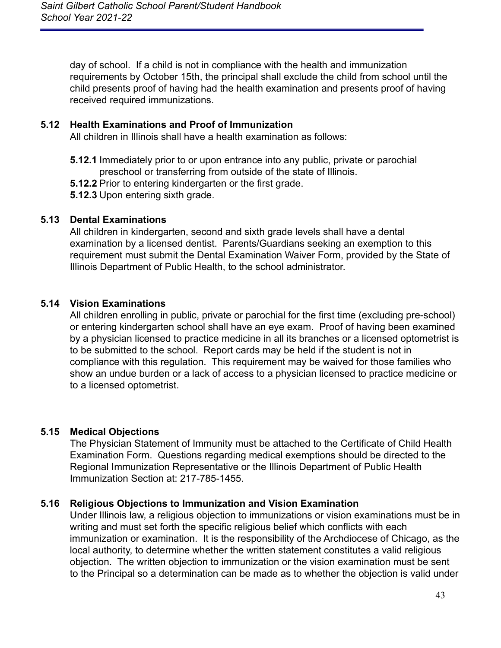day of school. If a child is not in compliance with the health and immunization requirements by October 15th, the principal shall exclude the child from school until the child presents proof of having had the health examination and presents proof of having received required immunizations.

### **5.12 Health Examinations and Proof of Immunization**

All children in Illinois shall have a health examination as follows:

- **5.12.1** Immediately prior to or upon entrance into any public, private or parochial preschool or transferring from outside of the state of Illinois.
- **5.12.2** Prior to entering kindergarten or the first grade.
- **5.12.3** Upon entering sixth grade.

### <span id="page-43-0"></span>**5.13 Dental Examinations**

All children in kindergarten, second and sixth grade levels shall have a dental examination by a licensed dentist. Parents/Guardians seeking an exemption to this requirement must submit the Dental Examination Waiver Form, provided by the State of Illinois Department of Public Health, to the school administrator.

### <span id="page-43-1"></span>**5.14 Vision Examinations**

All children enrolling in public, private or parochial for the first time (excluding pre-school) or entering kindergarten school shall have an eye exam. Proof of having been examined by a physician licensed to practice medicine in all its branches or a licensed optometrist is to be submitted to the school. Report cards may be held if the student is not in compliance with this regulation. This requirement may be waived for those families who show an undue burden or a lack of access to a physician licensed to practice medicine or to a licensed optometrist.

#### <span id="page-43-2"></span>**5.15 Medical Objections**

The Physician Statement of Immunity must be attached to the Certificate of Child Health Examination Form. Questions regarding medical exemptions should be directed to the Regional Immunization Representative or the Illinois Department of Public Health Immunization Section at: 217-785-1455.

#### <span id="page-43-3"></span>**5.16 Religious Objections to Immunization and Vision Examination**

Under Illinois law, a religious objection to immunizations or vision examinations must be in writing and must set forth the specific religious belief which conflicts with each immunization or examination. It is the responsibility of the Archdiocese of Chicago, as the local authority, to determine whether the written statement constitutes a valid religious objection. The written objection to immunization or the vision examination must be sent to the Principal so a determination can be made as to whether the objection is valid under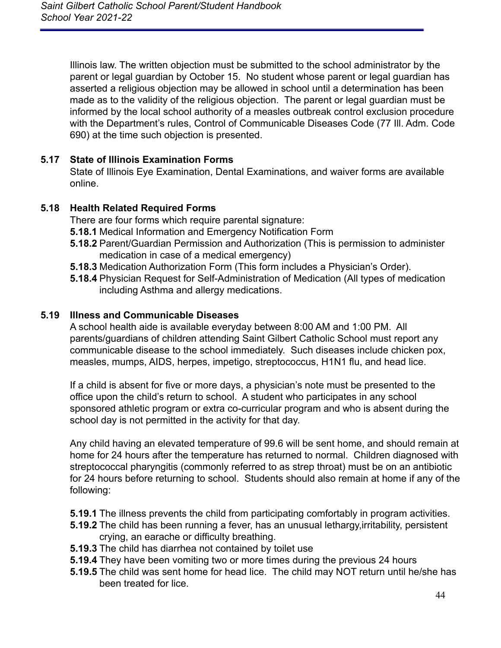Illinois law. The written objection must be submitted to the school administrator by the parent or legal guardian by October 15. No student whose parent or legal guardian has asserted a religious objection may be allowed in school until a determination has been made as to the validity of the religious objection. The parent or legal guardian must be informed by the local school authority of a measles outbreak control exclusion procedure with the Department's rules, Control of Communicable Diseases Code (77 Ill. Adm. Code 690) at the time such objection is presented.

### <span id="page-44-0"></span>**5.17 State of Illinois Examination Forms**

State of Illinois Eye Examination, Dental Examinations, and waiver forms are available online.

### <span id="page-44-1"></span>**5.18 Health Related Required Forms**

There are four forms which require parental signature:

- **5.18.1** Medical Information and Emergency Notification Form
- **5.18.2** Parent/Guardian Permission and Authorization (This is permission to administer medication in case of a medical emergency)
- **5.18.3** Medication Authorization Form (This form includes a Physician's Order).
- **5.18.4** Physician Request for Self-Administration of Medication (All types of medication including Asthma and allergy medications.

### <span id="page-44-2"></span>**5.19 Illness and Communicable Diseases**

A school health aide is available everyday between 8:00 AM and 1:00 PM. All parents/guardians of children attending Saint Gilbert Catholic School must report any communicable disease to the school immediately. Such diseases include chicken pox, measles, mumps, AIDS, herpes, impetigo, streptococcus, H1N1 flu, and head lice.

If a child is absent for five or more days, a physician's note must be presented to the office upon the child's return to school. A student who participates in any school sponsored athletic program or extra co-curricular program and who is absent during the school day is not permitted in the activity for that day.

Any child having an elevated temperature of 99.6 will be sent home, and should remain at home for 24 hours after the temperature has returned to normal. Children diagnosed with streptococcal pharyngitis (commonly referred to as strep throat) must be on an antibiotic for 24 hours before returning to school. Students should also remain at home if any of the following:

- **5.19.1** The illness prevents the child from participating comfortably in program activities.
- **5.19.2** The child has been running a fever, has an unusual lethargy,irritability, persistent crying, an earache or difficulty breathing.
- **5.19.3** The child has diarrhea not contained by toilet use
- **5.19.4** They have been vomiting two or more times during the previous 24 hours
- **5.19.5** The child was sent home for head lice. The child may NOT return until he/she has been treated for lice.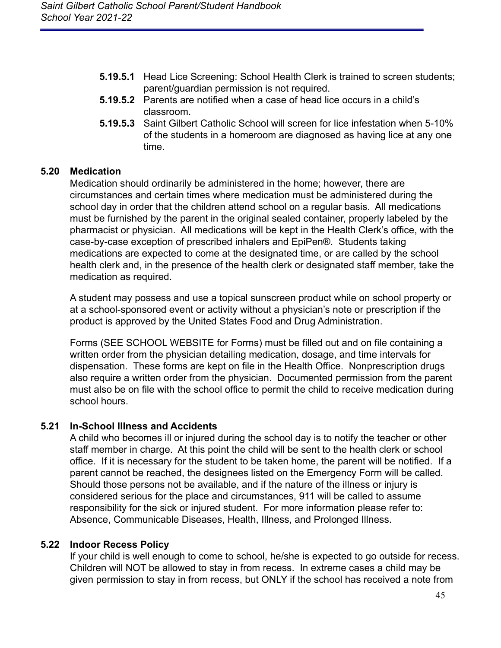- **5.19.5.1** Head Lice Screening: School Health Clerk is trained to screen students; parent/guardian permission is not required.
- **5.19.5.2** Parents are notified when a case of head lice occurs in a child's classroom.
- **5.19.5.3** Saint Gilbert Catholic School will screen for lice infestation when 5-10% of the students in a homeroom are diagnosed as having lice at any one time.

### <span id="page-45-0"></span>**5.20 Medication**

Medication should ordinarily be administered in the home; however, there are circumstances and certain times where medication must be administered during the school day in order that the children attend school on a regular basis. All medications must be furnished by the parent in the original sealed container, properly labeled by the pharmacist or physician. All medications will be kept in the Health Clerk's office, with the case-by-case exception of prescribed inhalers and EpiPen®. Students taking medications are expected to come at the designated time, or are called by the school health clerk and, in the presence of the health clerk or designated staff member, take the medication as required.

A student may possess and use a topical sunscreen product while on school property or at a school-sponsored event or activity without a physician's note or prescription if the product is approved by the United States Food and Drug Administration.

Forms (SEE SCHOOL WEBSITE for Forms) must be filled out and on file containing a written order from the physician detailing medication, dosage, and time intervals for dispensation. These forms are kept on file in the Health Office. Nonprescription drugs also require a written order from the physician. Documented permission from the parent must also be on file with the school office to permit the child to receive medication during school hours.

#### <span id="page-45-1"></span>**5.21 In-School Illness and Accidents**

A child who becomes ill or injured during the school day is to notify the teacher or other staff member in charge. At this point the child will be sent to the health clerk or school office. If it is necessary for the student to be taken home, the parent will be notified. If a parent cannot be reached, the designees listed on the Emergency Form will be called. Should those persons not be available, and if the nature of the illness or injury is considered serious for the place and circumstances, 911 will be called to assume responsibility for the sick or injured student. For more information please refer to: Absence, Communicable Diseases, Health, Illness, and Prolonged Illness.

#### <span id="page-45-2"></span>**5.22 Indoor Recess Policy**

If your child is well enough to come to school, he/she is expected to go outside for recess. Children will NOT be allowed to stay in from recess. In extreme cases a child may be given permission to stay in from recess, but ONLY if the school has received a note from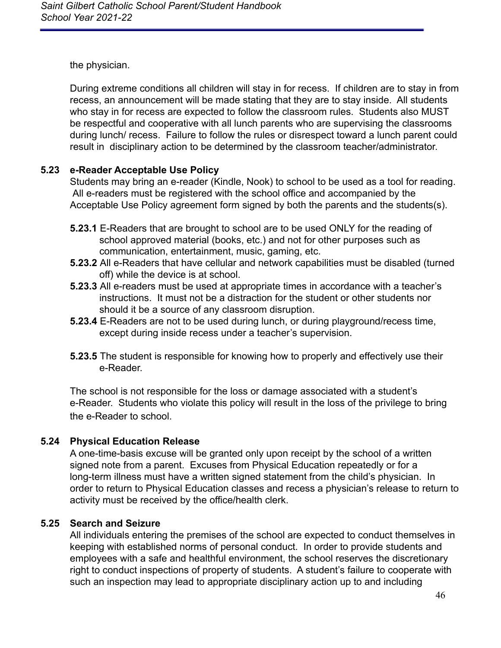the physician.

During extreme conditions all children will stay in for recess. If children are to stay in from recess, an announcement will be made stating that they are to stay inside. All students who stay in for recess are expected to follow the classroom rules. Students also MUST be respectful and cooperative with all lunch parents who are supervising the classrooms during lunch/ recess. Failure to follow the rules or disrespect toward a lunch parent could result in disciplinary action to be determined by the classroom teacher/administrator.

### <span id="page-46-0"></span>**5.23 e-Reader Acceptable Use Policy**

Students may bring an e-reader (Kindle, Nook) to school to be used as a tool for reading. All e-readers must be registered with the school office and accompanied by the Acceptable Use Policy agreement form signed by both the parents and the students(s).

- **5.23.1** E-Readers that are brought to school are to be used ONLY for the reading of school approved material (books, etc.) and not for other purposes such as communication, entertainment, music, gaming, etc.
- **5.23.2** All e-Readers that have cellular and network capabilities must be disabled (turned off) while the device is at school.
- **5.23.3** All e-readers must be used at appropriate times in accordance with a teacher's instructions. It must not be a distraction for the student or other students nor should it be a source of any classroom disruption.
- **5.23.4** E-Readers are not to be used during lunch, or during playground/recess time, except during inside recess under a teacher's supervision.
- **5.23.5** The student is responsible for knowing how to properly and effectively use their e-Reader.

The school is not responsible for the loss or damage associated with a student's e-Reader. Students who violate this policy will result in the loss of the privilege to bring the e-Reader to school.

### <span id="page-46-1"></span>**5.24 Physical Education Release**

A one-time-basis excuse will be granted only upon receipt by the school of a written signed note from a parent. Excuses from Physical Education repeatedly or for a long-term illness must have a written signed statement from the child's physician. In order to return to Physical Education classes and recess a physician's release to return to activity must be received by the office/health clerk.

### <span id="page-46-2"></span>**5.25 Search and Seizure**

All individuals entering the premises of the school are expected to conduct themselves in keeping with established norms of personal conduct. In order to provide students and employees with a safe and healthful environment, the school reserves the discretionary right to conduct inspections of property of students. A student's failure to cooperate with such an inspection may lead to appropriate disciplinary action up to and including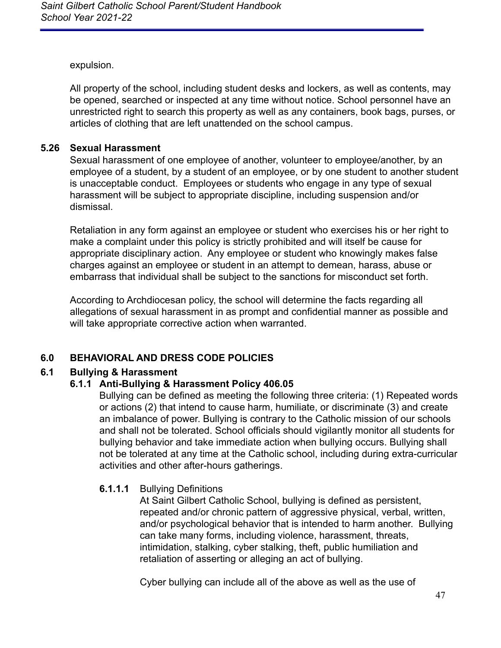expulsion.

All property of the school, including student desks and lockers, as well as contents, may be opened, searched or inspected at any time without notice. School personnel have an unrestricted right to search this property as well as any containers, book bags, purses, or articles of clothing that are left unattended on the school campus.

#### <span id="page-47-0"></span>**5.26 Sexual Harassment**

Sexual harassment of one employee of another, volunteer to employee/another, by an employee of a student, by a student of an employee, or by one student to another student is unacceptable conduct. Employees or students who engage in any type of sexual harassment will be subject to appropriate discipline, including suspension and/or dismissal.

Retaliation in any form against an employee or student who exercises his or her right to make a complaint under this policy is strictly prohibited and will itself be cause for appropriate disciplinary action. Any employee or student who knowingly makes false charges against an employee or student in an attempt to demean, harass, abuse or embarrass that individual shall be subject to the sanctions for misconduct set forth.

According to Archdiocesan policy, the school will determine the facts regarding all allegations of sexual harassment in as prompt and confidential manner as possible and will take appropriate corrective action when warranted.

### <span id="page-47-1"></span>**6.0 BEHAVIORAL AND DRESS CODE POLICIES**

#### <span id="page-47-2"></span>**6.1 Bullying & Harassment**

#### **6.1.1 Anti-Bullying & Harassment Policy 406.05**

Bullying can be defined as meeting the following three criteria: (1) Repeated words or actions (2) that intend to cause harm, humiliate, or discriminate (3) and create an imbalance of power. Bullying is contrary to the Catholic mission of our schools and shall not be tolerated. School officials should vigilantly monitor all students for bullying behavior and take immediate action when bullying occurs. Bullying shall not be tolerated at any time at the Catholic school, including during extra-curricular activities and other after-hours gatherings.

#### **6.1.1.1** Bullying Definitions

At Saint Gilbert Catholic School, bullying is defined as persistent, repeated and/or chronic pattern of aggressive physical, verbal, written, and/or psychological behavior that is intended to harm another. Bullying can take many forms, including violence, harassment, threats, intimidation, stalking, cyber stalking, theft, public humiliation and retaliation of asserting or alleging an act of bullying.

Cyber bullying can include all of the above as well as the use of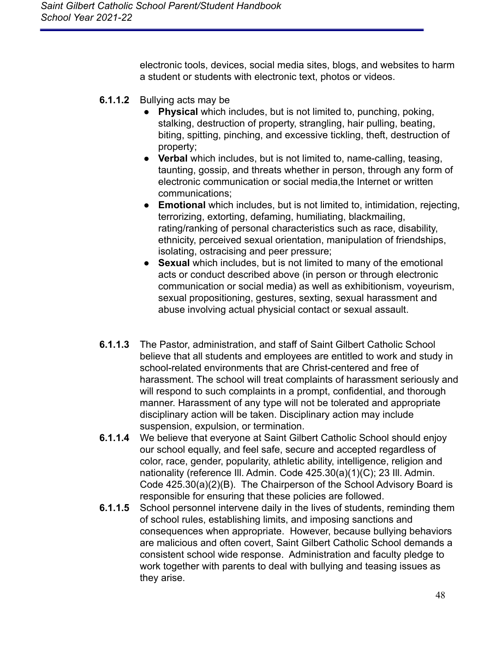electronic tools, devices, social media sites, blogs, and websites to harm a student or students with electronic text, photos or videos.

- **6.1.1.2** Bullying acts may be
	- **Physical** which includes, but is not limited to, punching, poking, stalking, destruction of property, strangling, hair pulling, beating, biting, spitting, pinching, and excessive tickling, theft, destruction of property;
	- **Verbal** which includes, but is not limited to, name-calling, teasing, taunting, gossip, and threats whether in person, through any form of electronic communication or social media,the Internet or written communications;
	- **Emotional** which includes, but is not limited to, intimidation, rejecting, terrorizing, extorting, defaming, humiliating, blackmailing, rating/ranking of personal characteristics such as race, disability, ethnicity, perceived sexual orientation, manipulation of friendships, isolating, ostracising and peer pressure;
	- **Sexual** which includes, but is not limited to many of the emotional acts or conduct described above (in person or through electronic communication or social media) as well as exhibitionism, voyeurism, sexual propositioning, gestures, sexting, sexual harassment and abuse involving actual physicial contact or sexual assault.
- **6.1.1.3** The Pastor, administration, and staff of Saint Gilbert Catholic School believe that all students and employees are entitled to work and study in school-related environments that are Christ-centered and free of harassment. The school will treat complaints of harassment seriously and will respond to such complaints in a prompt, confidential, and thorough manner. Harassment of any type will not be tolerated and appropriate disciplinary action will be taken. Disciplinary action may include suspension, expulsion, or termination.
- **6.1.1.4** We believe that everyone at Saint Gilbert Catholic School should enjoy our school equally, and feel safe, secure and accepted regardless of color, race, gender, popularity, athletic ability, intelligence, religion and nationality (reference Ill. Admin. Code 425.30(a)(1)(C); 23 Ill. Admin. Code 425.30(a)(2)(B). The Chairperson of the School Advisory Board is responsible for ensuring that these policies are followed.
- **6.1.1.5** School personnel intervene daily in the lives of students, reminding them of school rules, establishing limits, and imposing sanctions and consequences when appropriate. However, because bullying behaviors are malicious and often covert, Saint Gilbert Catholic School demands a consistent school wide response. Administration and faculty pledge to work together with parents to deal with bullying and teasing issues as they arise.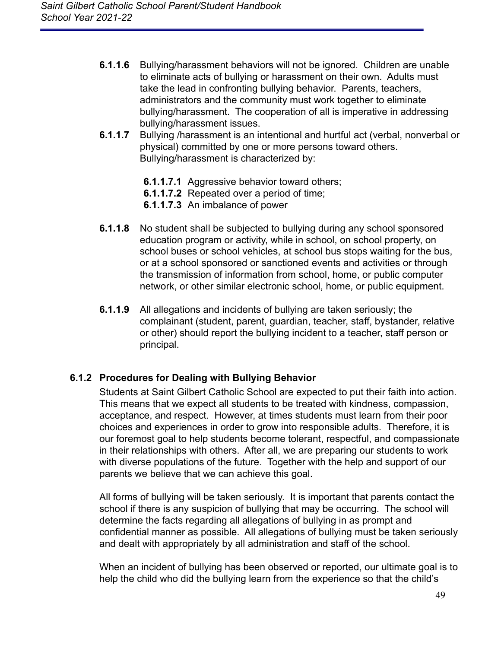- **6.1.1.6** Bullying/harassment behaviors will not be ignored. Children are unable to eliminate acts of bullying or harassment on their own. Adults must take the lead in confronting bullying behavior. Parents, teachers, administrators and the community must work together to eliminate bullying/harassment. The cooperation of all is imperative in addressing bullying/harassment issues.
- **6.1.1.7** Bullying /harassment is an intentional and hurtful act (verbal, nonverbal or physical) committed by one or more persons toward others. Bullying/harassment is characterized by:
	- **6.1.1.7.1** Aggressive behavior toward others;
	- **6.1.1.7.2** Repeated over a period of time;
	- **6.1.1.7.3** An imbalance of power
- **6.1.1.8** No student shall be subjected to bullying during any school sponsored education program or activity, while in school, on school property, on school buses or school vehicles, at school bus stops waiting for the bus, or at a school sponsored or sanctioned events and activities or through the transmission of information from school, home, or public computer network, or other similar electronic school, home, or public equipment.
- **6.1.1.9** All allegations and incidents of bullying are taken seriously; the complainant (student, parent, guardian, teacher, staff, bystander, relative or other) should report the bullying incident to a teacher, staff person or principal.

#### **6.1.2 Procedures for Dealing with Bullying Behavior**

Students at Saint Gilbert Catholic School are expected to put their faith into action. This means that we expect all students to be treated with kindness, compassion, acceptance, and respect. However, at times students must learn from their poor choices and experiences in order to grow into responsible adults. Therefore, it is our foremost goal to help students become tolerant, respectful, and compassionate in their relationships with others. After all, we are preparing our students to work with diverse populations of the future. Together with the help and support of our parents we believe that we can achieve this goal.

All forms of bullying will be taken seriously. It is important that parents contact the school if there is any suspicion of bullying that may be occurring. The school will determine the facts regarding all allegations of bullying in as prompt and confidential manner as possible. All allegations of bullying must be taken seriously and dealt with appropriately by all administration and staff of the school.

When an incident of bullying has been observed or reported, our ultimate goal is to help the child who did the bullying learn from the experience so that the child's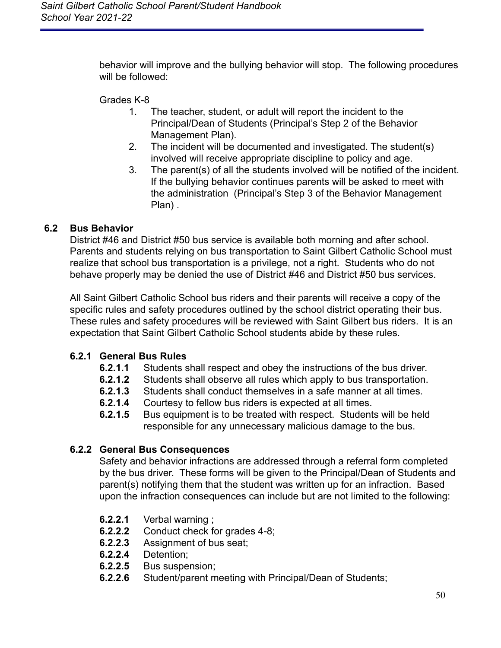behavior will improve and the bullying behavior will stop. The following procedures will be followed:

Grades K-8

- 1. The teacher, student, or adult will report the incident to the Principal/Dean of Students (Principal's Step 2 of the Behavior Management Plan).
- 2. The incident will be documented and investigated. The student(s) involved will receive appropriate discipline to policy and age.
- 3. The parent(s) of all the students involved will be notified of the incident. If the bullying behavior continues parents will be asked to meet with the administration (Principal's Step 3 of the Behavior Management Plan) .

## <span id="page-50-0"></span>**6.2 Bus Behavior**

District #46 and District #50 bus service is available both morning and after school. Parents and students relying on bus transportation to Saint Gilbert Catholic School must realize that school bus transportation is a privilege, not a right. Students who do not behave properly may be denied the use of District #46 and District #50 bus services.

All Saint Gilbert Catholic School bus riders and their parents will receive a copy of the specific rules and safety procedures outlined by the school district operating their bus. These rules and safety procedures will be reviewed with Saint Gilbert bus riders. It is an expectation that Saint Gilbert Catholic School students abide by these rules.

## **6.2.1 General Bus Rules**

- **6.2.1.1** Students shall respect and obey the instructions of the bus driver.
- **6.2.1.2** Students shall observe all rules which apply to bus transportation.
- **6.2.1.3** Students shall conduct themselves in a safe manner at all times.
- **6.2.1.4** Courtesy to fellow bus riders is expected at all times.
- **6.2.1.5** Bus equipment is to be treated with respect. Students will be held responsible for any unnecessary malicious damage to the bus.

## **6.2.2 General Bus Consequences**

Safety and behavior infractions are addressed through a referral form completed by the bus driver. These forms will be given to the Principal/Dean of Students and parent(s) notifying them that the student was written up for an infraction. Based upon the infraction consequences can include but are not limited to the following:

- **6.2.2.1** Verbal warning ;
- **6.2.2.2** Conduct check for grades 4-8;
- **6.2.2.3** Assignment of bus seat;
- **6.2.2.4** Detention;
- Bus suspension;
- **6.2.2.6** Student/parent meeting with Principal/Dean of Students;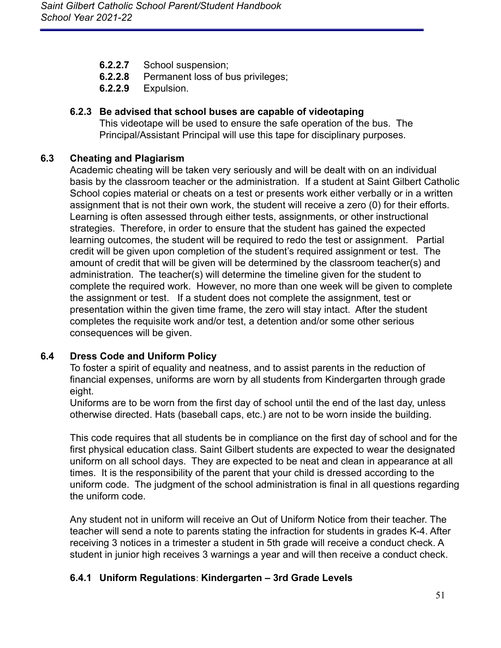- **6.2.2.7** School suspension;
- **6.2.2.8** Permanent loss of bus privileges;
- **6.2.2.9** Expulsion.

### **6.2.3 Be advised that school buses are capable of videotaping**

This videotape will be used to ensure the safe operation of the bus. The Principal/Assistant Principal will use this tape for disciplinary purposes.

#### <span id="page-51-0"></span>**6.3 Cheating and Plagiarism**

Academic cheating will be taken very seriously and will be dealt with on an individual basis by the classroom teacher or the administration. If a student at Saint Gilbert Catholic School copies material or cheats on a test or presents work either verbally or in a written assignment that is not their own work, the student will receive a zero (0) for their efforts. Learning is often assessed through either tests, assignments, or other instructional strategies. Therefore, in order to ensure that the student has gained the expected learning outcomes, the student will be required to redo the test or assignment. Partial credit will be given upon completion of the student's required assignment or test. The amount of credit that will be given will be determined by the classroom teacher(s) and administration. The teacher(s) will determine the timeline given for the student to complete the required work. However, no more than one week will be given to complete the assignment or test. If a student does not complete the assignment, test or presentation within the given time frame, the zero will stay intact. After the student completes the requisite work and/or test, a detention and/or some other serious consequences will be given.

### <span id="page-51-1"></span>**6.4 Dress Code and Uniform Policy**

To foster a spirit of equality and neatness, and to assist parents in the reduction of financial expenses, uniforms are worn by all students from Kindergarten through grade eight.

Uniforms are to be worn from the first day of school until the end of the last day, unless otherwise directed. Hats (baseball caps, etc.) are not to be worn inside the building.

This code requires that all students be in compliance on the first day of school and for the first physical education class. Saint Gilbert students are expected to wear the designated uniform on all school days. They are expected to be neat and clean in appearance at all times. It is the responsibility of the parent that your child is dressed according to the uniform code. The judgment of the school administration is final in all questions regarding the uniform code.

Any student not in uniform will receive an Out of Uniform Notice from their teacher. The teacher will send a note to parents stating the infraction for students in grades K-4. After receiving 3 notices in a trimester a student in 5th grade will receive a conduct check. A student in junior high receives 3 warnings a year and will then receive a conduct check.

### **6.4.1 Uniform Regulations**: **Kindergarten – 3rd Grade Levels**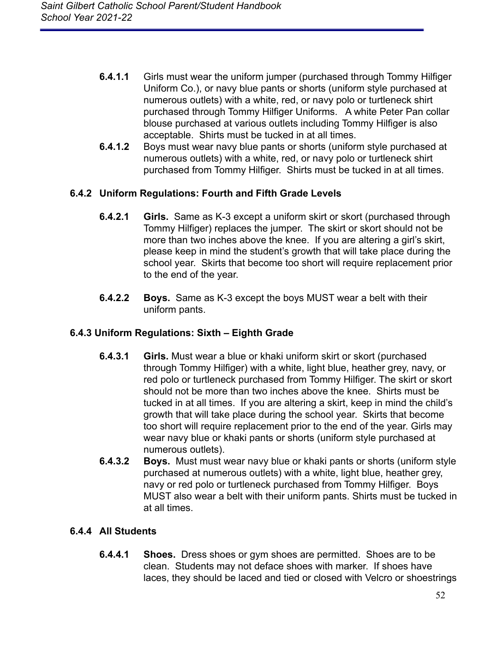- **6.4.1.1** Girls must wear the uniform jumper (purchased through Tommy Hilfiger Uniform Co.), or navy blue pants or shorts (uniform style purchased at numerous outlets) with a white, red, or navy polo or turtleneck shirt purchased through Tommy Hilfiger Uniforms. A white Peter Pan collar blouse purchased at various outlets including Tommy Hilfiger is also acceptable. Shirts must be tucked in at all times.
- **6.4.1.2** Boys must wear navy blue pants or shorts (uniform style purchased at numerous outlets) with a white, red, or navy polo or turtleneck shirt purchased from Tommy Hilfiger. Shirts must be tucked in at all times.

## **6.4.2 Uniform Regulations: Fourth and Fifth Grade Levels**

- **6.4.2.1 Girls.** Same as K-3 except a uniform skirt or skort (purchased through Tommy Hilfiger) replaces the jumper. The skirt or skort should not be more than two inches above the knee. If you are altering a girl's skirt, please keep in mind the student's growth that will take place during the school year. Skirts that become too short will require replacement prior to the end of the year.
- **6.4.2.2 Boys.** Same as K-3 except the boys MUST wear a belt with their uniform pants.

### **6.4.3 Uniform Regulations: Sixth – Eighth Grade**

- **6.4.3.1 Girls.** Must wear a blue or khaki uniform skirt or skort (purchased through Tommy Hilfiger) with a white, light blue, heather grey, navy, or red polo or turtleneck purchased from Tommy Hilfiger. The skirt or skort should not be more than two inches above the knee. Shirts must be tucked in at all times. If you are altering a skirt, keep in mind the child's growth that will take place during the school year. Skirts that become too short will require replacement prior to the end of the year. Girls may wear navy blue or khaki pants or shorts (uniform style purchased at numerous outlets).
- **6.4.3.2 Boys.** Must must wear navy blue or khaki pants or shorts (uniform style purchased at numerous outlets) with a white, light blue, heather grey, navy or red polo or turtleneck purchased from Tommy Hilfiger. Boys MUST also wear a belt with their uniform pants. Shirts must be tucked in at all times.

## **6.4.4 All Students**

**6.4.4.1 Shoes.** Dress shoes or gym shoes are permitted. Shoes are to be clean. Students may not deface shoes with marker. If shoes have laces, they should be laced and tied or closed with Velcro or shoestrings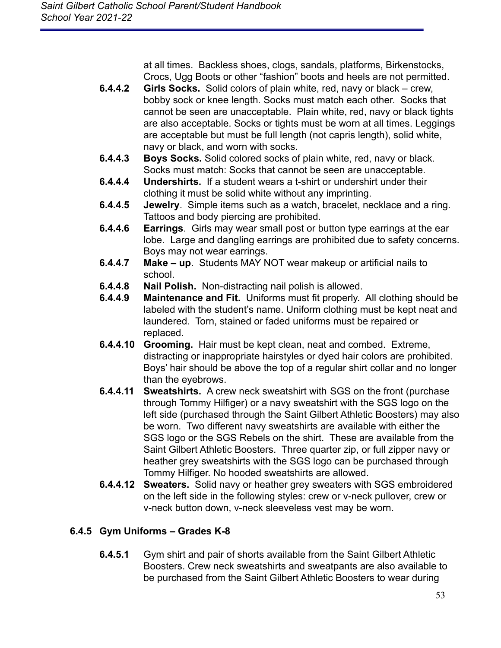at all times. Backless shoes, clogs, sandals, platforms, Birkenstocks, Crocs, Ugg Boots or other "fashion" boots and heels are not permitted.

- **6.4.4.2 Girls Socks.** Solid colors of plain white, red, navy or black crew, bobby sock or knee length. Socks must match each other. Socks that cannot be seen are unacceptable. Plain white, red, navy or black tights are also acceptable. Socks or tights must be worn at all times. Leggings are acceptable but must be full length (not capris length), solid white, navy or black, and worn with socks.
- **6.4.4.3 Boys Socks.** Solid colored socks of plain white, red, navy or black. Socks must match: Socks that cannot be seen are unacceptable.
- **6.4.4.4 Undershirts.** If a student wears a t-shirt or undershirt under their clothing it must be solid white without any imprinting.
- **6.4.4.5 Jewelry**. Simple items such as a watch, bracelet, necklace and a ring. Tattoos and body piercing are prohibited.
- **6.4.4.6 Earrings**. Girls may wear small post or button type earrings at the ear lobe. Large and dangling earrings are prohibited due to safety concerns. Boys may not wear earrings.
- **6.4.4.7 Make up**. Students MAY NOT wear makeup or artificial nails to school.
- **6.4.4.8 Nail Polish.** Non-distracting nail polish is allowed.
- **6.4.4.9 Maintenance and Fit.** Uniforms must fit properly. All clothing should be labeled with the student's name. Uniform clothing must be kept neat and laundered. Torn, stained or faded uniforms must be repaired or replaced.
- **6.4.4.10 Grooming.** Hair must be kept clean, neat and combed. Extreme, distracting or inappropriate hairstyles or dyed hair colors are prohibited. Boys' hair should be above the top of a regular shirt collar and no longer than the eyebrows.
- **6.4.4.11 Sweatshirts.** A crew neck sweatshirt with SGS on the front (purchase through Tommy Hilfiger) or a navy sweatshirt with the SGS logo on the left side (purchased through the Saint Gilbert Athletic Boosters) may also be worn. Two different navy sweatshirts are available with either the SGS logo or the SGS Rebels on the shirt. These are available from the Saint Gilbert Athletic Boosters. Three quarter zip, or full zipper navy or heather grey sweatshirts with the SGS logo can be purchased through Tommy Hilfiger. No hooded sweatshirts are allowed.
- **6.4.4.12 Sweaters.** Solid navy or heather grey sweaters with SGS embroidered on the left side in the following styles: crew or v-neck pullover, crew or v-neck button down, v-neck sleeveless vest may be worn.

# **6.4.5 Gym Uniforms – Grades K-8**

**6.4.5.1** Gym shirt and pair of shorts available from the Saint Gilbert Athletic Boosters. Crew neck sweatshirts and sweatpants are also available to be purchased from the Saint Gilbert Athletic Boosters to wear during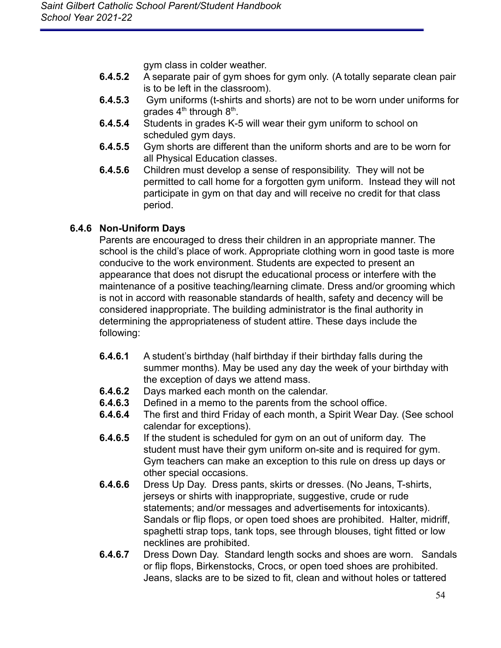gym class in colder weather.

- **6.4.5.2** A separate pair of gym shoes for gym only. (A totally separate clean pair is to be left in the classroom).
- **6.4.5.3** Gym uniforms (t-shirts and shorts) are not to be worn under uniforms for grades 4<sup>th</sup> through 8<sup>th</sup>.
- **6.4.5.4** Students in grades K-5 will wear their gym uniform to school on scheduled gym days.
- **6.4.5.5** Gym shorts are different than the uniform shorts and are to be worn for all Physical Education classes.
- **6.4.5.6** Children must develop a sense of responsibility. They will not be permitted to call home for a forgotten gym uniform. Instead they will not participate in gym on that day and will receive no credit for that class period.

## **6.4.6 Non-Uniform Days**

Parents are encouraged to dress their children in an appropriate manner. The school is the child's place of work. Appropriate clothing worn in good taste is more conducive to the work environment. Students are expected to present an appearance that does not disrupt the educational process or interfere with the maintenance of a positive teaching/learning climate. Dress and/or grooming which is not in accord with reasonable standards of health, safety and decency will be considered inappropriate. The building administrator is the final authority in determining the appropriateness of student attire. These days include the following:

- **6.4.6.1** A student's birthday (half birthday if their birthday falls during the summer months). May be used any day the week of your birthday with the exception of days we attend mass.
- **6.4.6.2** Days marked each month on the calendar.
- **6.4.6.3** Defined in a memo to the parents from the school office.
- **6.4.6.4** The first and third Friday of each month, a Spirit Wear Day. (See school calendar for exceptions).
- **6.4.6.5** If the student is scheduled for gym on an out of uniform day. The student must have their gym uniform on-site and is required for gym. Gym teachers can make an exception to this rule on dress up days or other special occasions.
- **6.4.6.6** Dress Up Day. Dress pants, skirts or dresses. (No Jeans, T-shirts, jerseys or shirts with inappropriate, suggestive, crude or rude statements; and/or messages and advertisements for intoxicants). Sandals or flip flops, or open toed shoes are prohibited. Halter, midriff, spaghetti strap tops, tank tops, see through blouses, tight fitted or low necklines are prohibited.
- **6.4.6.7** Dress Down Day. Standard length socks and shoes are worn. Sandals or flip flops, Birkenstocks, Crocs, or open toed shoes are prohibited. Jeans, slacks are to be sized to fit, clean and without holes or tattered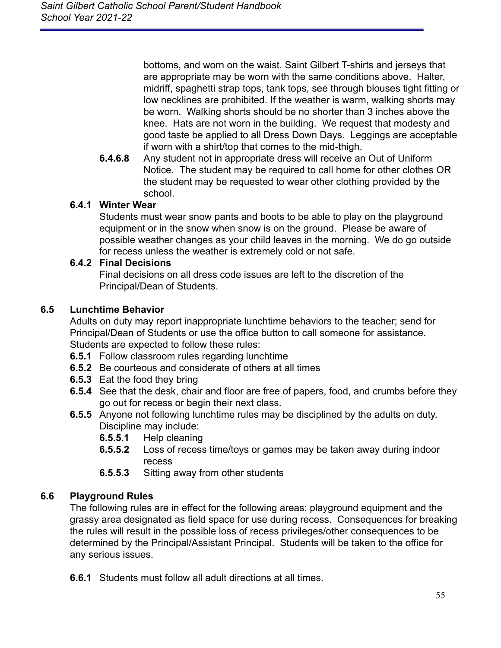bottoms, and worn on the waist. Saint Gilbert T-shirts and jerseys that are appropriate may be worn with the same conditions above. Halter, midriff, spaghetti strap tops, tank tops, see through blouses tight fitting or low necklines are prohibited. If the weather is warm, walking shorts may be worn. Walking shorts should be no shorter than 3 inches above the knee. Hats are not worn in the building. We request that modesty and good taste be applied to all Dress Down Days. Leggings are acceptable if worn with a shirt/top that comes to the mid-thigh.

**6.4.6.8** Any student not in appropriate dress will receive an Out of Uniform Notice. The student may be required to call home for other clothes OR the student may be requested to wear other clothing provided by the school.

### **6.4.1 Winter Wear**

Students must wear snow pants and boots to be able to play on the playground equipment or in the snow when snow is on the ground. Please be aware of possible weather changes as your child leaves in the morning. We do go outside for recess unless the weather is extremely cold or not safe.

### **6.4.2 Final Decisions**

Final decisions on all dress code issues are left to the discretion of the Principal/Dean of Students.

## <span id="page-55-0"></span>**6.5 Lunchtime Behavior**

Adults on duty may report inappropriate lunchtime behaviors to the teacher; send for Principal/Dean of Students or use the office button to call someone for assistance. Students are expected to follow these rules:

- **6.5.1** Follow classroom rules regarding lunchtime
- **6.5.2** Be courteous and considerate of others at all times
- **6.5.3** Eat the food they bring
- **6.5.4** See that the desk, chair and floor are free of papers, food, and crumbs before they go out for recess or begin their next class.
- **6.5.5** Anyone not following lunchtime rules may be disciplined by the adults on duty. Discipline may include:
	- **6.5.5.1** Help cleaning
	- **6.5.5.2** Loss of recess time/toys or games may be taken away during indoor recess
	- **6.5.5.3** Sitting away from other students

## <span id="page-55-1"></span>**6.6 Playground Rules**

The following rules are in effect for the following areas: playground equipment and the grassy area designated as field space for use during recess. Consequences for breaking the rules will result in the possible loss of recess privileges/other consequences to be determined by the Principal/Assistant Principal. Students will be taken to the office for any serious issues.

**6.6.1** Students must follow all adult directions at all times.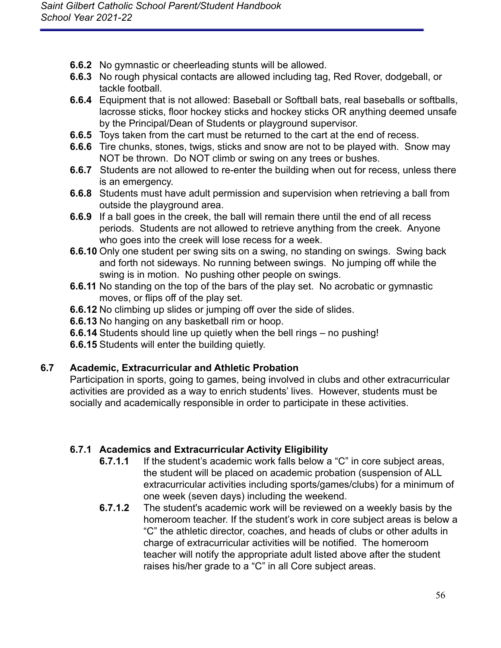- **6.6.2** No gymnastic or cheerleading stunts will be allowed.
- **6.6.3** No rough physical contacts are allowed including tag, Red Rover, dodgeball, or tackle football.
- **6.6.4** Equipment that is not allowed: Baseball or Softball bats, real baseballs or softballs, lacrosse sticks, floor hockey sticks and hockey sticks OR anything deemed unsafe by the Principal/Dean of Students or playground supervisor.
- **6.6.5** Toys taken from the cart must be returned to the cart at the end of recess.
- **6.6.6** Tire chunks, stones, twigs, sticks and snow are not to be played with. Snow may NOT be thrown. Do NOT climb or swing on any trees or bushes.
- **6.6.7** Students are not allowed to re-enter the building when out for recess, unless there is an emergency.
- **6.6.8** Students must have adult permission and supervision when retrieving a ball from outside the playground area.
- **6.6.9** If a ball goes in the creek, the ball will remain there until the end of all recess periods. Students are not allowed to retrieve anything from the creek. Anyone who goes into the creek will lose recess for a week.
- **6.6.10** Only one student per swing sits on a swing, no standing on swings. Swing back and forth not sideways. No running between swings. No jumping off while the swing is in motion. No pushing other people on swings.
- **6.6.11** No standing on the top of the bars of the play set. No acrobatic or gymnastic moves, or flips off of the play set.
- **6.6.12** No climbing up slides or jumping off over the side of slides.
- **6.6.13** No hanging on any basketball rim or hoop.
- **6.6.14** Students should line up quietly when the bell rings no pushing!
- **6.6.15** Students will enter the building quietly.

### <span id="page-56-0"></span>**6.7 Academic, Extracurricular and Athletic Probation**

Participation in sports, going to games, being involved in clubs and other extracurricular activities are provided as a way to enrich students' lives. However, students must be socially and academically responsible in order to participate in these activities.

## **6.7.1 Academics and Extracurricular Activity Eligibility**

- **6.7.1.1** If the student's academic work falls below a "C" in core subject areas, the student will be placed on academic probation (suspension of ALL extracurricular activities including sports/games/clubs) for a minimum of one week (seven days) including the weekend.
- **6.7.1.2** The student's academic work will be reviewed on a weekly basis by the homeroom teacher. If the student's work in core subject areas is below a "C" the athletic director, coaches, and heads of clubs or other adults in charge of extracurricular activities will be notified. The homeroom teacher will notify the appropriate adult listed above after the student raises his/her grade to a "C" in all Core subject areas.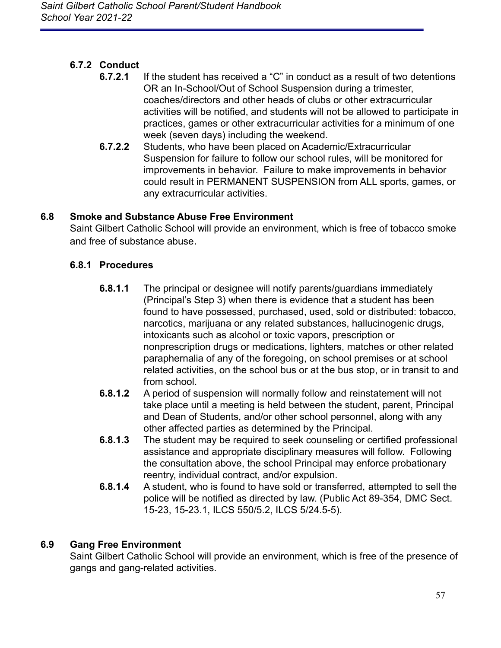# **6.7.2 Conduct**

- **6.7.2.1** If the student has received a "C" in conduct as a result of two detentions OR an In-School/Out of School Suspension during a trimester, coaches/directors and other heads of clubs or other extracurricular activities will be notified, and students will not be allowed to participate in practices, games or other extracurricular activities for a minimum of one week (seven days) including the weekend.
- **6.7.2.2** Students, who have been placed on Academic/Extracurricular Suspension for failure to follow our school rules, will be monitored for improvements in behavior. Failure to make improvements in behavior could result in PERMANENT SUSPENSION from ALL sports, games, or any extracurricular activities.

## <span id="page-57-0"></span>**6.8 Smoke and Substance Abuse Free Environment**

Saint Gilbert Catholic School will provide an environment, which is free of tobacco smoke and free of substance abuse.

## **6.8.1 Procedures**

- **6.8.1.1** The principal or designee will notify parents/guardians immediately (Principal's Step 3) when there is evidence that a student has been found to have possessed, purchased, used, sold or distributed: tobacco, narcotics, marijuana or any related substances, hallucinogenic drugs, intoxicants such as alcohol or toxic vapors, prescription or nonprescription drugs or medications, lighters, matches or other related paraphernalia of any of the foregoing, on school premises or at school related activities, on the school bus or at the bus stop, or in transit to and from school.
- **6.8.1.2** A period of suspension will normally follow and reinstatement will not take place until a meeting is held between the student, parent, Principal and Dean of Students, and/or other school personnel, along with any other affected parties as determined by the Principal.
- **6.8.1.3** The student may be required to seek counseling or certified professional assistance and appropriate disciplinary measures will follow. Following the consultation above, the school Principal may enforce probationary reentry, individual contract, and/or expulsion.
- **6.8.1.4** A student, who is found to have sold or transferred, attempted to sell the police will be notified as directed by law. (Public Act 89-354, DMC Sect. 15-23, 15-23.1, ILCS 550/5.2, ILCS 5/24.5-5).

### <span id="page-57-1"></span>**6.9 Gang Free Environment**

Saint Gilbert Catholic School will provide an environment, which is free of the presence of gangs and gang-related activities.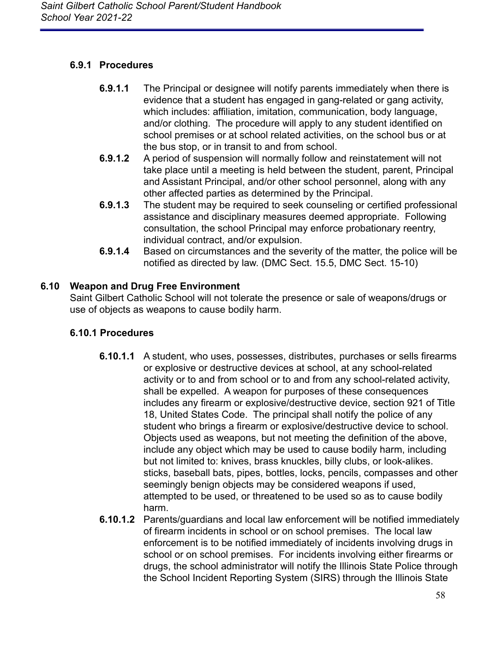## **6.9.1 Procedures**

- **6.9.1.1** The Principal or designee will notify parents immediately when there is evidence that a student has engaged in gang-related or gang activity, which includes: affiliation, imitation, communication, body language, and/or clothing. The procedure will apply to any student identified on school premises or at school related activities, on the school bus or at the bus stop, or in transit to and from school.
- **6.9.1.2** A period of suspension will normally follow and reinstatement will not take place until a meeting is held between the student, parent, Principal and Assistant Principal, and/or other school personnel, along with any other affected parties as determined by the Principal.
- **6.9.1.3** The student may be required to seek counseling or certified professional assistance and disciplinary measures deemed appropriate. Following consultation, the school Principal may enforce probationary reentry, individual contract, and/or expulsion.
- **6.9.1.4** Based on circumstances and the severity of the matter, the police will be notified as directed by law. (DMC Sect. 15.5, DMC Sect. 15-10)

# <span id="page-58-0"></span>**6.10 Weapon and Drug Free Environment**

Saint Gilbert Catholic School will not tolerate the presence or sale of weapons/drugs or use of objects as weapons to cause bodily harm.

## **6.10.1 Procedures**

- **6.10.1.1** A student, who uses, possesses, distributes, purchases or sells firearms or explosive or destructive devices at school, at any school-related activity or to and from school or to and from any school-related activity, shall be expelled. A weapon for purposes of these consequences includes any firearm or explosive/destructive device, section 921 of Title 18, United States Code. The principal shall notify the police of any student who brings a firearm or explosive/destructive device to school. Objects used as weapons, but not meeting the definition of the above, include any object which may be used to cause bodily harm, including but not limited to: knives, brass knuckles, billy clubs, or look-alikes. sticks, baseball bats, pipes, bottles, locks, pencils, compasses and other seemingly benign objects may be considered weapons if used, attempted to be used, or threatened to be used so as to cause bodily harm.
- **6.10.1.2** Parents/guardians and local law enforcement will be notified immediately of firearm incidents in school or on school premises. The local law enforcement is to be notified immediately of incidents involving drugs in school or on school premises. For incidents involving either firearms or drugs, the school administrator will notify the Illinois State Police through the School Incident Reporting System (SIRS) through the Illinois State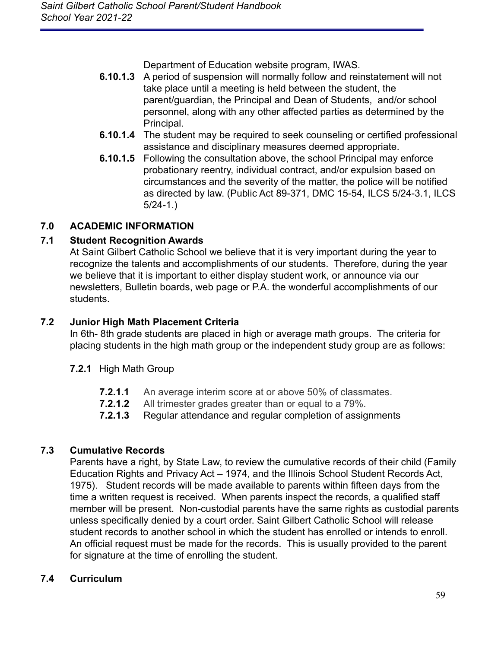Department of Education website program, IWAS.

- **6.10.1.3** A period of suspension will normally follow and reinstatement will not take place until a meeting is held between the student, the parent/guardian, the Principal and Dean of Students, and/or school personnel, along with any other affected parties as determined by the Principal.
- **6.10.1.4** The student may be required to seek counseling or certified professional assistance and disciplinary measures deemed appropriate.
- **6.10.1.5** Following the consultation above, the school Principal may enforce probationary reentry, individual contract, and/or expulsion based on circumstances and the severity of the matter, the police will be notified as directed by law. (Public Act 89-371, DMC 15-54, ILCS 5/24-3.1, ILCS 5/24-1.)

## <span id="page-59-0"></span>**7.0 ACADEMIC INFORMATION**

## <span id="page-59-1"></span>**7.1 Student Recognition Awards**

At Saint Gilbert Catholic School we believe that it is very important during the year to recognize the talents and accomplishments of our students. Therefore, during the year we believe that it is important to either display student work, or announce via our newsletters, Bulletin boards, web page or P.A. the wonderful accomplishments of our students.

## <span id="page-59-2"></span>**7.2 Junior High Math Placement Criteria**

In 6th- 8th grade students are placed in high or average math groups. The criteria for placing students in the high math group or the independent study group are as follows:

### **7.2.1** High Math Group

- **7.2.1.1** An average interim score at or above 50% of classmates.
- **7.2.1.2** All trimester grades greater than or equal to a 79%.
- **7.2.1.3** Regular attendance and regular completion of assignments

## <span id="page-59-3"></span>**7.3 Cumulative Records**

Parents have a right, by State Law, to review the cumulative records of their child (Family Education Rights and Privacy Act – 1974, and the Illinois School Student Records Act, 1975). Student records will be made available to parents within fifteen days from the time a written request is received. When parents inspect the records, a qualified staff member will be present. Non-custodial parents have the same rights as custodial parents unless specifically denied by a court order. Saint Gilbert Catholic School will release student records to another school in which the student has enrolled or intends to enroll. An official request must be made for the records. This is usually provided to the parent for signature at the time of enrolling the student.

### <span id="page-59-4"></span>**7.4 Curriculum**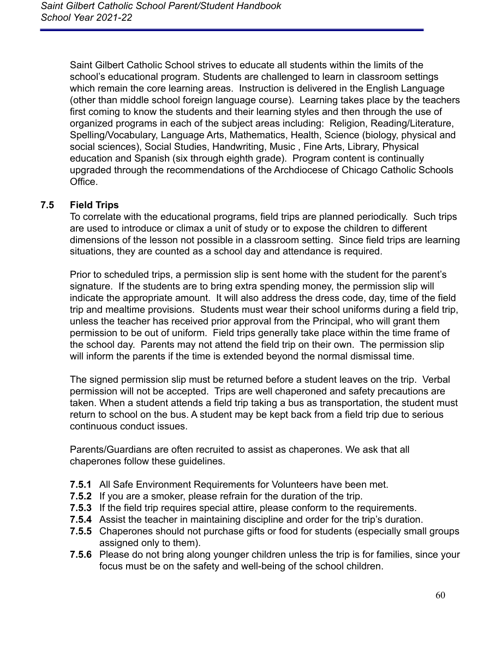Saint Gilbert Catholic School strives to educate all students within the limits of the school's educational program. Students are challenged to learn in classroom settings which remain the core learning areas. Instruction is delivered in the English Language (other than middle school foreign language course). Learning takes place by the teachers first coming to know the students and their learning styles and then through the use of organized programs in each of the subject areas including: Religion, Reading/Literature, Spelling/Vocabulary, Language Arts, Mathematics, Health, Science (biology, physical and social sciences), Social Studies, Handwriting, Music , Fine Arts, Library, Physical education and Spanish (six through eighth grade). Program content is continually upgraded through the recommendations of the Archdiocese of Chicago Catholic Schools **Office** 

## <span id="page-60-0"></span>**7.5 Field Trips**

To correlate with the educational programs, field trips are planned periodically. Such trips are used to introduce or climax a unit of study or to expose the children to different dimensions of the lesson not possible in a classroom setting. Since field trips are learning situations, they are counted as a school day and attendance is required.

Prior to scheduled trips, a permission slip is sent home with the student for the parent's signature. If the students are to bring extra spending money, the permission slip will indicate the appropriate amount. It will also address the dress code, day, time of the field trip and mealtime provisions. Students must wear their school uniforms during a field trip, unless the teacher has received prior approval from the Principal, who will grant them permission to be out of uniform. Field trips generally take place within the time frame of the school day. Parents may not attend the field trip on their own. The permission slip will inform the parents if the time is extended beyond the normal dismissal time.

The signed permission slip must be returned before a student leaves on the trip. Verbal permission will not be accepted. Trips are well chaperoned and safety precautions are taken. When a student attends a field trip taking a bus as transportation, the student must return to school on the bus. A student may be kept back from a field trip due to serious continuous conduct issues.

Parents/Guardians are often recruited to assist as chaperones. We ask that all chaperones follow these guidelines.

- **7.5.1** All Safe Environment Requirements for Volunteers have been met.
- **7.5.2** If you are a smoker, please refrain for the duration of the trip.
- **7.5.3** If the field trip requires special attire, please conform to the requirements.
- **7.5.4** Assist the teacher in maintaining discipline and order for the trip's duration.
- **7.5.5** Chaperones should not purchase gifts or food for students (especially small groups assigned only to them).
- **7.5.6** Please do not bring along younger children unless the trip is for families, since your focus must be on the safety and well-being of the school children.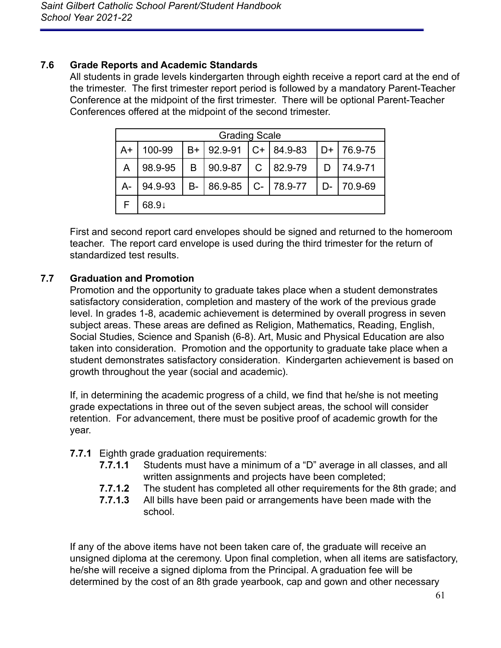## <span id="page-61-0"></span>**7.6 Grade Reports and Academic Standards**

All students in grade levels kindergarten through eighth receive a report card at the end of the trimester. The first trimester report period is followed by a mandatory Parent-Teacher Conference at the midpoint of the first trimester. There will be optional Parent-Teacher Conferences offered at the midpoint of the second trimester.

|       | <b>Grading Scale</b> |           |                        |               |               |    |              |
|-------|----------------------|-----------|------------------------|---------------|---------------|----|--------------|
| $A+$  | 100-99               | B+        | $ 92.9-91$             |               | $ C+ 84.9-83$ |    | $D+$ 76.9-75 |
| A     | 98.9-95              | B         | 90.9-87                | $\mathcal{C}$ | $ 82.9-79$    | D  | 74.9-71      |
| $A -$ | 94.9-93              | <b>B-</b> | $ 86.9-85 $ C- 78.9-77 |               |               | D- | 70.9-69      |
|       | 68.9↓                |           |                        |               |               |    |              |

First and second report card envelopes should be signed and returned to the homeroom teacher. The report card envelope is used during the third trimester for the return of standardized test results.

## <span id="page-61-1"></span>**7.7 Graduation and Promotion**

Promotion and the opportunity to graduate takes place when a student demonstrates satisfactory consideration, completion and mastery of the work of the previous grade level. In grades 1-8, academic achievement is determined by overall progress in seven subject areas. These areas are defined as Religion, Mathematics, Reading, English, Social Studies, Science and Spanish (6-8). Art, Music and Physical Education are also taken into consideration. Promotion and the opportunity to graduate take place when a student demonstrates satisfactory consideration. Kindergarten achievement is based on growth throughout the year (social and academic).

If, in determining the academic progress of a child, we find that he/she is not meeting grade expectations in three out of the seven subject areas, the school will consider retention. For advancement, there must be positive proof of academic growth for the year.

- **7.7.1** Eighth grade graduation requirements:
	- **7.7.1.1** Students must have a minimum of a "D" average in all classes, and all written assignments and projects have been completed;
	- **7.7.1.2** The student has completed all other requirements for the 8th grade; and
	- **7.7.1.3** All bills have been paid or arrangements have been made with the school.

If any of the above items have not been taken care of, the graduate will receive an unsigned diploma at the ceremony. Upon final completion, when all items are satisfactory, he/she will receive a signed diploma from the Principal. A graduation fee will be determined by the cost of an 8th grade yearbook, cap and gown and other necessary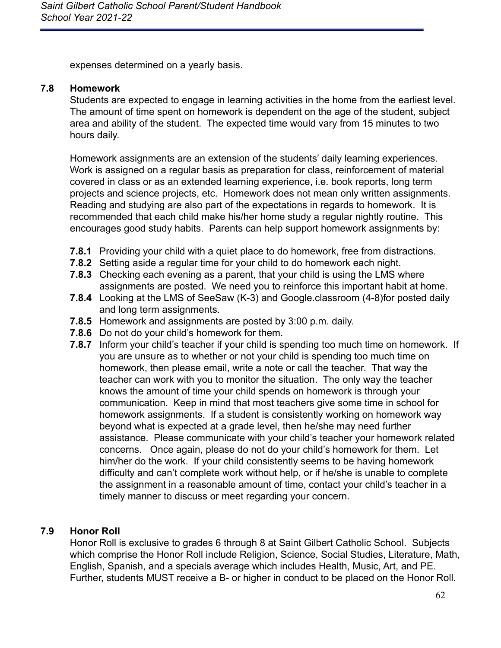expenses determined on a yearly basis.

### <span id="page-62-0"></span>**7.8 Homework**

Students are expected to engage in learning activities in the home from the earliest level. The amount of time spent on homework is dependent on the age of the student, subject area and ability of the student. The expected time would vary from 15 minutes to two hours daily.

Homework assignments are an extension of the students' daily learning experiences. Work is assigned on a regular basis as preparation for class, reinforcement of material covered in class or as an extended learning experience, i.e. book reports, long term projects and science projects, etc. Homework does not mean only written assignments. Reading and studying are also part of the expectations in regards to homework. It is recommended that each child make his/her home study a regular nightly routine. This encourages good study habits. Parents can help support homework assignments by:

- **7.8.1** Providing your child with a quiet place to do homework, free from distractions.
- **7.8.2** Setting aside a regular time for your child to do homework each night.
- **7.8.3** Checking each evening as a parent, that your child is using the LMS where assignments are posted. We need you to reinforce this important habit at home.
- **7.8.4** Looking at the LMS of SeeSaw (K-3) and Google.classroom (4-8)for posted daily and long term assignments.
- **7.8.5** Homework and assignments are posted by 3:00 p.m. daily.
- **7.8.6** Do not do your child's homework for them.
- **7.8.7** Inform your child's teacher if your child is spending too much time on homework. If you are unsure as to whether or not your child is spending too much time on homework, then please email, write a note or call the teacher. That way the teacher can work with you to monitor the situation. The only way the teacher knows the amount of time your child spends on homework is through your communication. Keep in mind that most teachers give some time in school for homework assignments. If a student is consistently working on homework way beyond what is expected at a grade level, then he/she may need further assistance. Please communicate with your child's teacher your homework related concerns. Once again, please do not do your child's homework for them. Let him/her do the work. If your child consistently seems to be having homework difficulty and can't complete work without help, or if he/she is unable to complete the assignment in a reasonable amount of time, contact your child's teacher in a timely manner to discuss or meet regarding your concern.

### <span id="page-62-1"></span>**7.9 Honor Roll**

Honor Roll is exclusive to grades 6 through 8 at Saint Gilbert Catholic School. Subjects which comprise the Honor Roll include Religion, Science, Social Studies, Literature, Math, English, Spanish, and a specials average which includes Health, Music, Art, and PE. Further, students MUST receive a B- or higher in conduct to be placed on the Honor Roll.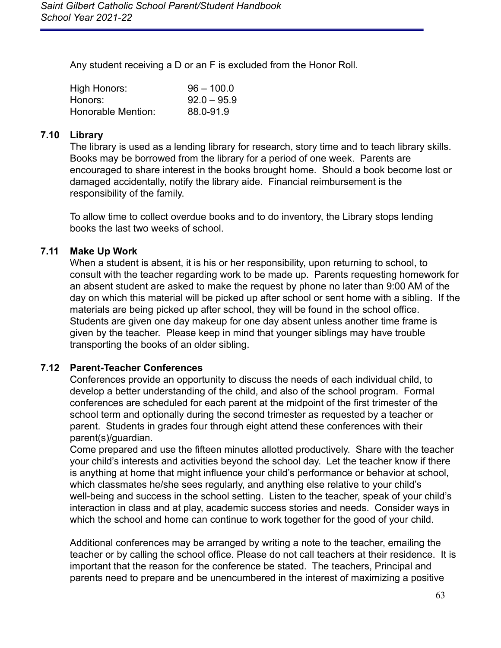Any student receiving a D or an F is excluded from the Honor Roll.

| High Honors:       | $96 - 100.0$  |
|--------------------|---------------|
| Honors:            | $92.0 - 95.9$ |
| Honorable Mention: | 88.0-91.9     |

### <span id="page-63-0"></span>**7.10 Library**

The library is used as a lending library for research, story time and to teach library skills. Books may be borrowed from the library for a period of one week. Parents are encouraged to share interest in the books brought home. Should a book become lost or damaged accidentally, notify the library aide. Financial reimbursement is the responsibility of the family.

To allow time to collect overdue books and to do inventory, the Library stops lending books the last two weeks of school.

### <span id="page-63-1"></span>**7.11 Make Up Work**

When a student is absent, it is his or her responsibility, upon returning to school, to consult with the teacher regarding work to be made up. Parents requesting homework for an absent student are asked to make the request by phone no later than 9:00 AM of the day on which this material will be picked up after school or sent home with a sibling. If the materials are being picked up after school, they will be found in the school office. Students are given one day makeup for one day absent unless another time frame is given by the teacher. Please keep in mind that younger siblings may have trouble transporting the books of an older sibling.

#### <span id="page-63-2"></span>**7.12 Parent-Teacher Conferences**

Conferences provide an opportunity to discuss the needs of each individual child, to develop a better understanding of the child, and also of the school program. Formal conferences are scheduled for each parent at the midpoint of the first trimester of the school term and optionally during the second trimester as requested by a teacher or parent. Students in grades four through eight attend these conferences with their parent(s)/guardian.

Come prepared and use the fifteen minutes allotted productively. Share with the teacher your child's interests and activities beyond the school day. Let the teacher know if there is anything at home that might influence your child's performance or behavior at school, which classmates he/she sees regularly, and anything else relative to your child's well-being and success in the school setting. Listen to the teacher, speak of your child's interaction in class and at play, academic success stories and needs. Consider ways in which the school and home can continue to work together for the good of your child.

Additional conferences may be arranged by writing a note to the teacher, emailing the teacher or by calling the school office. Please do not call teachers at their residence. It is important that the reason for the conference be stated. The teachers, Principal and parents need to prepare and be unencumbered in the interest of maximizing a positive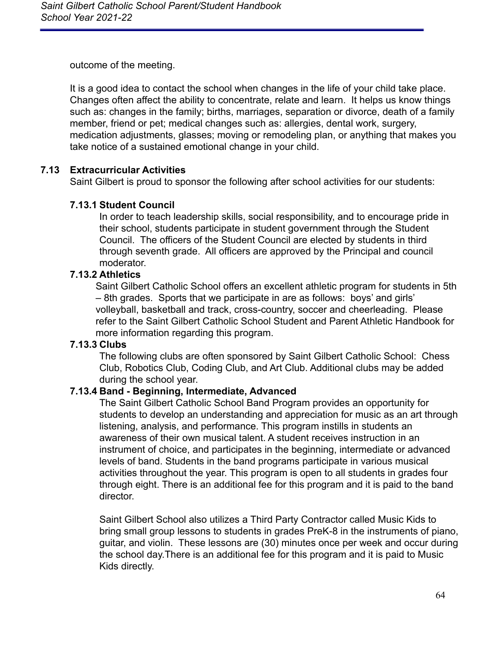outcome of the meeting.

It is a good idea to contact the school when changes in the life of your child take place. Changes often affect the ability to concentrate, relate and learn. It helps us know things such as: changes in the family; births, marriages, separation or divorce, death of a family member, friend or pet; medical changes such as: allergies, dental work, surgery, medication adjustments, glasses; moving or remodeling plan, or anything that makes you take notice of a sustained emotional change in your child.

### <span id="page-64-0"></span>**7.13 Extracurricular Activities**

Saint Gilbert is proud to sponsor the following after school activities for our students:

### **7.13.1 Student Council**

In order to teach leadership skills, social responsibility, and to encourage pride in their school, students participate in student government through the Student Council. The officers of the Student Council are elected by students in third through seventh grade. All officers are approved by the Principal and council moderator.

### **7.13.2 Athletics**

Saint Gilbert Catholic School offers an excellent athletic program for students in 5th – 8th grades. Sports that we participate in are as follows: boys' and girls' volleyball, basketball and track, cross-country, soccer and cheerleading. Please refer to the Saint Gilbert Catholic School Student and Parent Athletic Handbook for more information regarding this program.

#### **7.13.3 Clubs**

The following clubs are often sponsored by Saint Gilbert Catholic School: Chess Club, Robotics Club, Coding Club, and Art Club. Additional clubs may be added during the school year.

#### **7.13.4 Band - Beginning, Intermediate, Advanced**

The Saint Gilbert Catholic School Band Program provides an opportunity for students to develop an understanding and appreciation for music as an art through listening, analysis, and performance. This program instills in students an awareness of their own musical talent. A student receives instruction in an instrument of choice, and participates in the beginning, intermediate or advanced levels of band. Students in the band programs participate in various musical activities throughout the year. This program is open to all students in grades four through eight. There is an additional fee for this program and it is paid to the band director.

Saint Gilbert School also utilizes a Third Party Contractor called Music Kids to bring small group lessons to students in grades PreK-8 in the instruments of piano, guitar, and violin. These lessons are (30) minutes once per week and occur during the school day.There is an additional fee for this program and it is paid to Music Kids directly.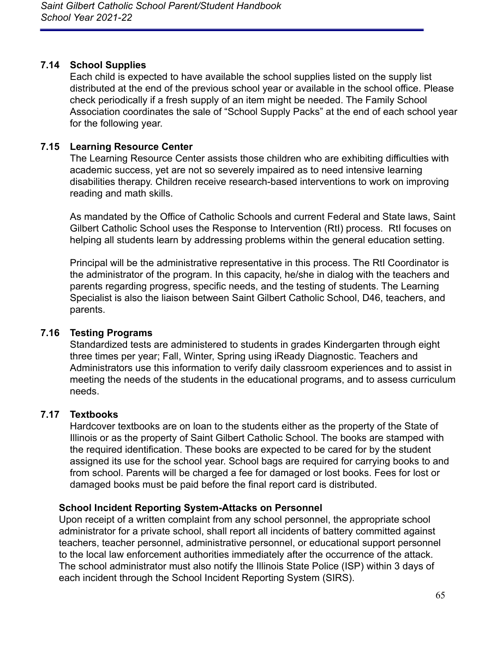## <span id="page-65-0"></span>**7.14 School Supplies**

Each child is expected to have available the school supplies listed on the supply list distributed at the end of the previous school year or available in the school office. Please check periodically if a fresh supply of an item might be needed. The Family School Association coordinates the sale of "School Supply Packs" at the end of each school year for the following year.

## <span id="page-65-1"></span>**7.15 Learning Resource Center**

The Learning Resource Center assists those children who are exhibiting difficulties with academic success, yet are not so severely impaired as to need intensive learning disabilities therapy. Children receive research-based interventions to work on improving reading and math skills.

As mandated by the Office of Catholic Schools and current Federal and State laws, Saint Gilbert Catholic School uses the Response to Intervention (RtI) process. RtI focuses on helping all students learn by addressing problems within the general education setting.

Principal will be the administrative representative in this process. The RtI Coordinator is the administrator of the program. In this capacity, he/she in dialog with the teachers and parents regarding progress, specific needs, and the testing of students. The Learning Specialist is also the liaison between Saint Gilbert Catholic School, D46, teachers, and parents.

## <span id="page-65-2"></span>**7.16 Testing Programs**

Standardized tests are administered to students in grades Kindergarten through eight three times per year; Fall, Winter, Spring using iReady Diagnostic. Teachers and Administrators use this information to verify daily classroom experiences and to assist in meeting the needs of the students in the educational programs, and to assess curriculum needs.

## <span id="page-65-3"></span>**7.17 Textbooks**

Hardcover textbooks are on loan to the students either as the property of the State of Illinois or as the property of Saint Gilbert Catholic School. The books are stamped with the required identification. These books are expected to be cared for by the student assigned its use for the school year. School bags are required for carrying books to and from school. Parents will be charged a fee for damaged or lost books. Fees for lost or damaged books must be paid before the final report card is distributed.

### **School Incident Reporting System-Attacks on Personnel**

Upon receipt of a written complaint from any school personnel, the appropriate school administrator for a private school, shall report all incidents of battery committed against teachers, teacher personnel, administrative personnel, or educational support personnel to the local law enforcement authorities immediately after the occurrence of the attack. The school administrator must also notify the Illinois State Police (ISP) within 3 days of each incident through the School Incident Reporting System (SIRS).